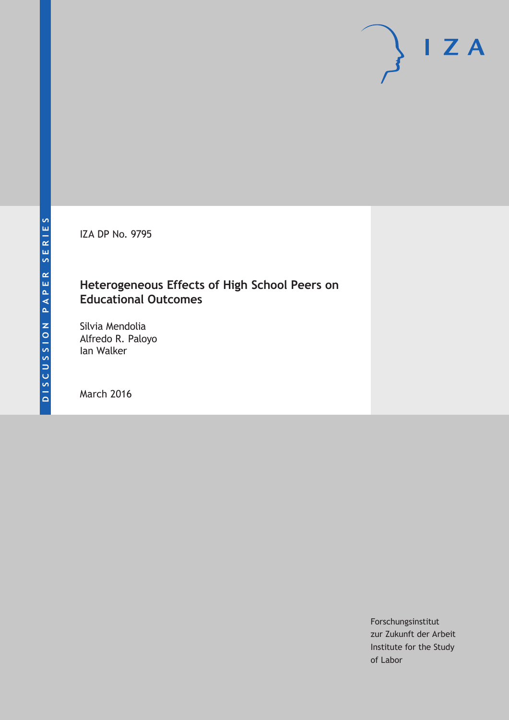IZA DP No. 9795

### **Heterogeneous Effects of High School Peers on Educational Outcomes**

Silvia Mendolia Alfredo R. Paloyo Ian Walker

March 2016

Forschungsinstitut zur Zukunft der Arbeit Institute for the Study of Labor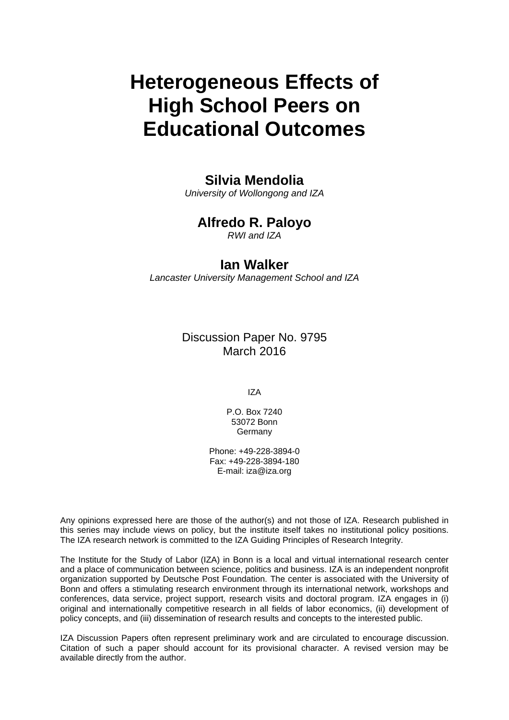# **Heterogeneous Effects of High School Peers on Educational Outcomes**

### **Silvia Mendolia**

*University of Wollongong and IZA* 

### **Alfredo R. Paloyo**

*RWI and IZA* 

### **Ian Walker**

*Lancaster University Management School and IZA*

Discussion Paper No. 9795 March 2016

IZA

P.O. Box 7240 53072 Bonn Germany

Phone: +49-228-3894-0 Fax: +49-228-3894-180 E-mail: iza@iza.org

Any opinions expressed here are those of the author(s) and not those of IZA. Research published in this series may include views on policy, but the institute itself takes no institutional policy positions. The IZA research network is committed to the IZA Guiding Principles of Research Integrity.

The Institute for the Study of Labor (IZA) in Bonn is a local and virtual international research center and a place of communication between science, politics and business. IZA is an independent nonprofit organization supported by Deutsche Post Foundation. The center is associated with the University of Bonn and offers a stimulating research environment through its international network, workshops and conferences, data service, project support, research visits and doctoral program. IZA engages in (i) original and internationally competitive research in all fields of labor economics, (ii) development of policy concepts, and (iii) dissemination of research results and concepts to the interested public.

IZA Discussion Papers often represent preliminary work and are circulated to encourage discussion. Citation of such a paper should account for its provisional character. A revised version may be available directly from the author.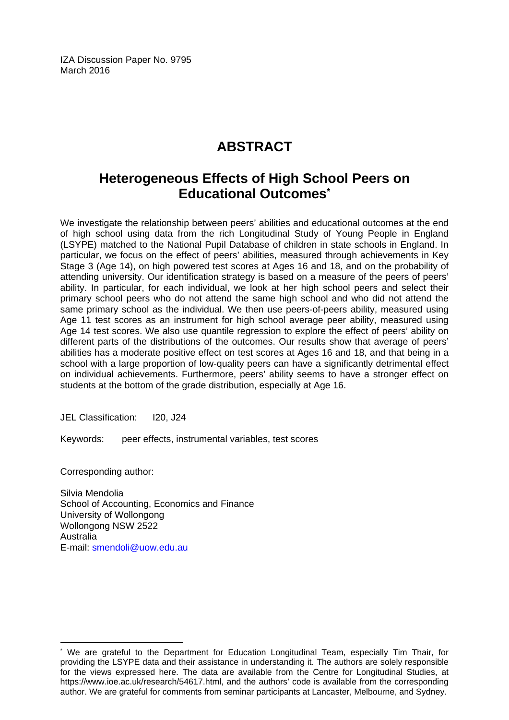IZA Discussion Paper No. 9795 March 2016

# **ABSTRACT**

## **Heterogeneous Effects of High School Peers on Educational Outcomes\***

We investigate the relationship between peers' abilities and educational outcomes at the end of high school using data from the rich Longitudinal Study of Young People in England (LSYPE) matched to the National Pupil Database of children in state schools in England. In particular, we focus on the effect of peers' abilities, measured through achievements in Key Stage 3 (Age 14), on high powered test scores at Ages 16 and 18, and on the probability of attending university. Our identification strategy is based on a measure of the peers of peers' ability. In particular, for each individual, we look at her high school peers and select their primary school peers who do not attend the same high school and who did not attend the same primary school as the individual. We then use peers-of-peers ability, measured using Age 11 test scores as an instrument for high school average peer ability, measured using Age 14 test scores. We also use quantile regression to explore the effect of peers' ability on different parts of the distributions of the outcomes. Our results show that average of peers' abilities has a moderate positive effect on test scores at Ages 16 and 18, and that being in a school with a large proportion of low-quality peers can have a significantly detrimental effect on individual achievements. Furthermore, peers' ability seems to have a stronger effect on students at the bottom of the grade distribution, especially at Age 16.

JEL Classification: I20, J24

Keywords: peer effects, instrumental variables, test scores

Corresponding author:

 $\overline{a}$ 

Silvia Mendolia School of Accounting, Economics and Finance University of Wollongong Wollongong NSW 2522 Australia E-mail: smendoli@uow.edu.au

<sup>\*</sup> We are grateful to the Department for Education Longitudinal Team, especially Tim Thair, for providing the LSYPE data and their assistance in understanding it. The authors are solely responsible for the views expressed here. The data are available from the Centre for Longitudinal Studies, at https://www.ioe.ac.uk/research/54617.html, and the authors' code is available from the corresponding author. We are grateful for comments from seminar participants at Lancaster, Melbourne, and Sydney.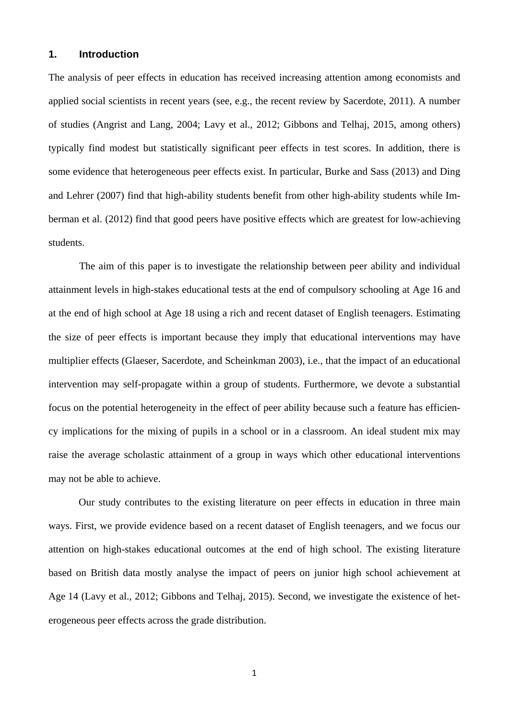#### **1. Introduction**

The analysis of peer effects in education has received increasing attention among economists and applied social scientists in recent years (see, e.g., the recent review by Sacerdote, 2011). A number of studies (Angrist and Lang, 2004; Lavy et al., 2012; Gibbons and Telhaj, 2015, among others) typically find modest but statistically significant peer effects in test scores. In addition, there is some evidence that heterogeneous peer effects exist. In particular, Burke and Sass (2013) and Ding and Lehrer (2007) find that high-ability students benefit from other high-ability students while Imberman et al. (2012) find that good peers have positive effects which are greatest for low-achieving students.

 The aim of this paper is to investigate the relationship between peer ability and individual attainment levels in high-stakes educational tests at the end of compulsory schooling at Age 16 and at the end of high school at Age 18 using a rich and recent dataset of English teenagers. Estimating the size of peer effects is important because they imply that educational interventions may have multiplier effects (Glaeser, Sacerdote, and Scheinkman 2003), i.e., that the impact of an educational intervention may self-propagate within a group of students. Furthermore, we devote a substantial focus on the potential heterogeneity in the effect of peer ability because such a feature has efficiency implications for the mixing of pupils in a school or in a classroom. An ideal student mix may raise the average scholastic attainment of a group in ways which other educational interventions may not be able to achieve.

Our study contributes to the existing literature on peer effects in education in three main ways. First, we provide evidence based on a recent dataset of English teenagers, and we focus our attention on high-stakes educational outcomes at the end of high school. The existing literature based on British data mostly analyse the impact of peers on junior high school achievement at Age 14 (Lavy et al., 2012; Gibbons and Telhaj, 2015). Second, we investigate the existence of heterogeneous peer effects across the grade distribution.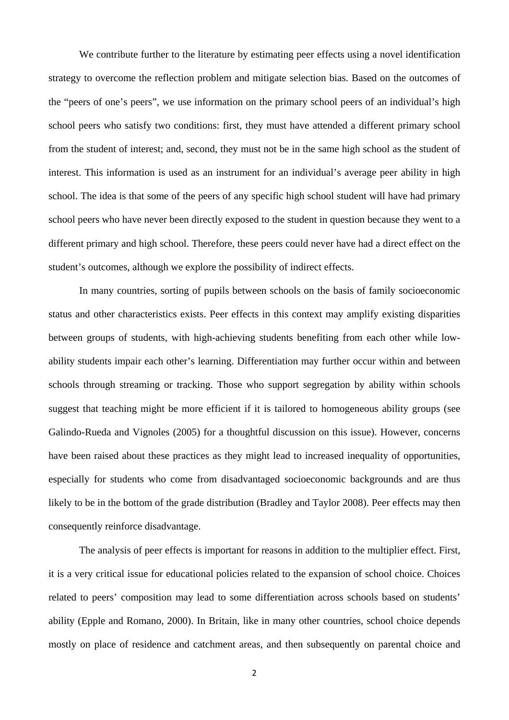We contribute further to the literature by estimating peer effects using a novel identification strategy to overcome the reflection problem and mitigate selection bias. Based on the outcomes of the "peers of one's peers", we use information on the primary school peers of an individual's high school peers who satisfy two conditions: first, they must have attended a different primary school from the student of interest; and, second, they must not be in the same high school as the student of interest. This information is used as an instrument for an individual's average peer ability in high school. The idea is that some of the peers of any specific high school student will have had primary school peers who have never been directly exposed to the student in question because they went to a different primary and high school. Therefore, these peers could never have had a direct effect on the student's outcomes, although we explore the possibility of indirect effects.

 In many countries, sorting of pupils between schools on the basis of family socioeconomic status and other characteristics exists. Peer effects in this context may amplify existing disparities between groups of students, with high-achieving students benefiting from each other while lowability students impair each other's learning. Differentiation may further occur within and between schools through streaming or tracking. Those who support segregation by ability within schools suggest that teaching might be more efficient if it is tailored to homogeneous ability groups (see Galindo-Rueda and Vignoles (2005) for a thoughtful discussion on this issue). However, concerns have been raised about these practices as they might lead to increased inequality of opportunities, especially for students who come from disadvantaged socioeconomic backgrounds and are thus likely to be in the bottom of the grade distribution (Bradley and Taylor 2008). Peer effects may then consequently reinforce disadvantage.

 The analysis of peer effects is important for reasons in addition to the multiplier effect. First, it is a very critical issue for educational policies related to the expansion of school choice. Choices related to peers' composition may lead to some differentiation across schools based on students' ability (Epple and Romano, 2000). In Britain, like in many other countries, school choice depends mostly on place of residence and catchment areas, and then subsequently on parental choice and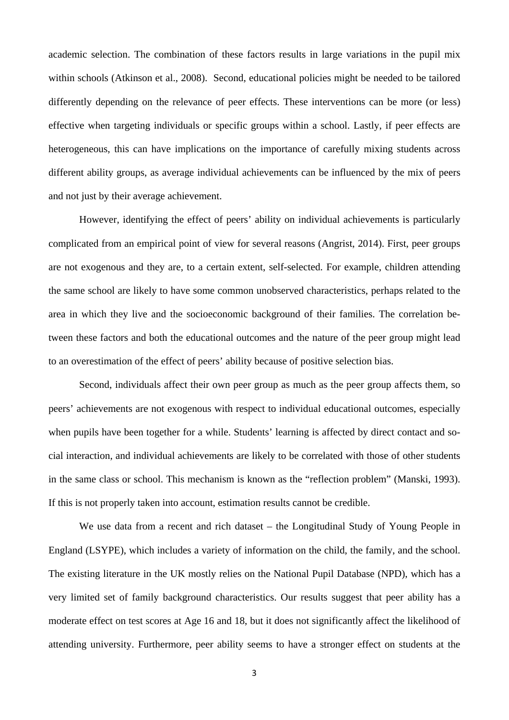academic selection. The combination of these factors results in large variations in the pupil mix within schools (Atkinson et al., 2008). Second, educational policies might be needed to be tailored differently depending on the relevance of peer effects. These interventions can be more (or less) effective when targeting individuals or specific groups within a school. Lastly, if peer effects are heterogeneous, this can have implications on the importance of carefully mixing students across different ability groups, as average individual achievements can be influenced by the mix of peers and not just by their average achievement.

 However, identifying the effect of peers' ability on individual achievements is particularly complicated from an empirical point of view for several reasons (Angrist, 2014). First, peer groups are not exogenous and they are, to a certain extent, self-selected. For example, children attending the same school are likely to have some common unobserved characteristics, perhaps related to the area in which they live and the socioeconomic background of their families. The correlation between these factors and both the educational outcomes and the nature of the peer group might lead to an overestimation of the effect of peers' ability because of positive selection bias.

 Second, individuals affect their own peer group as much as the peer group affects them, so peers' achievements are not exogenous with respect to individual educational outcomes, especially when pupils have been together for a while. Students' learning is affected by direct contact and social interaction, and individual achievements are likely to be correlated with those of other students in the same class or school. This mechanism is known as the "reflection problem" (Manski, 1993). If this is not properly taken into account, estimation results cannot be credible.

 We use data from a recent and rich dataset – the Longitudinal Study of Young People in England (LSYPE), which includes a variety of information on the child, the family, and the school. The existing literature in the UK mostly relies on the National Pupil Database (NPD), which has a very limited set of family background characteristics. Our results suggest that peer ability has a moderate effect on test scores at Age 16 and 18, but it does not significantly affect the likelihood of attending university. Furthermore, peer ability seems to have a stronger effect on students at the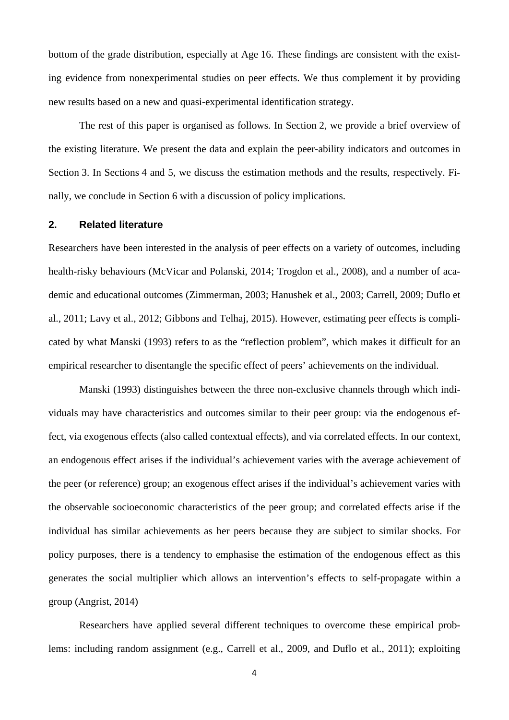bottom of the grade distribution, especially at Age 16. These findings are consistent with the existing evidence from nonexperimental studies on peer effects. We thus complement it by providing new results based on a new and quasi-experimental identification strategy.

 The rest of this paper is organised as follows. In Section 2, we provide a brief overview of the existing literature. We present the data and explain the peer-ability indicators and outcomes in Section 3. In Sections 4 and 5, we discuss the estimation methods and the results, respectively. Finally, we conclude in Section 6 with a discussion of policy implications.

#### **2. Related literature**

Researchers have been interested in the analysis of peer effects on a variety of outcomes, including health-risky behaviours (McVicar and Polanski, 2014; Trogdon et al., 2008), and a number of academic and educational outcomes (Zimmerman, 2003; Hanushek et al., 2003; Carrell, 2009; Duflo et al., 2011; Lavy et al., 2012; Gibbons and Telhaj, 2015). However, estimating peer effects is complicated by what Manski (1993) refers to as the "reflection problem", which makes it difficult for an empirical researcher to disentangle the specific effect of peers' achievements on the individual.

 Manski (1993) distinguishes between the three non-exclusive channels through which individuals may have characteristics and outcomes similar to their peer group: via the endogenous effect, via exogenous effects (also called contextual effects), and via correlated effects. In our context, an endogenous effect arises if the individual's achievement varies with the average achievement of the peer (or reference) group; an exogenous effect arises if the individual's achievement varies with the observable socioeconomic characteristics of the peer group; and correlated effects arise if the individual has similar achievements as her peers because they are subject to similar shocks. For policy purposes, there is a tendency to emphasise the estimation of the endogenous effect as this generates the social multiplier which allows an intervention's effects to self-propagate within a group (Angrist, 2014)

 Researchers have applied several different techniques to overcome these empirical problems: including random assignment (e.g., Carrell et al., 2009, and Duflo et al., 2011); exploiting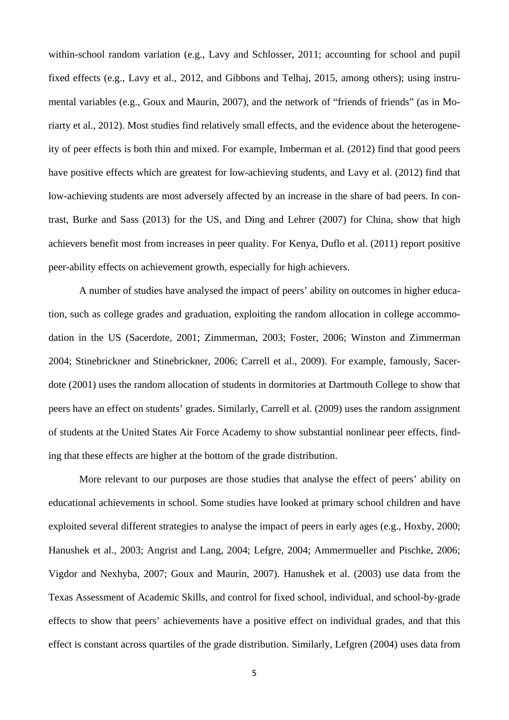within-school random variation (e.g., Lavy and Schlosser, 2011; accounting for school and pupil fixed effects (e.g., Lavy et al., 2012, and Gibbons and Telhaj, 2015, among others); using instrumental variables (e.g., Goux and Maurin, 2007), and the network of "friends of friends" (as in Moriarty et al., 2012). Most studies find relatively small effects, and the evidence about the heterogeneity of peer effects is both thin and mixed. For example, Imberman et al. (2012) find that good peers have positive effects which are greatest for low-achieving students, and Lavy et al. (2012) find that low-achieving students are most adversely affected by an increase in the share of bad peers. In contrast, Burke and Sass (2013) for the US, and Ding and Lehrer (2007) for China, show that high achievers benefit most from increases in peer quality. For Kenya, Duflo et al. (2011) report positive peer-ability effects on achievement growth, especially for high achievers.

 A number of studies have analysed the impact of peers' ability on outcomes in higher education, such as college grades and graduation, exploiting the random allocation in college accommodation in the US (Sacerdote, 2001; Zimmerman, 2003; Foster, 2006; Winston and Zimmerman 2004; Stinebrickner and Stinebrickner, 2006; Carrell et al., 2009). For example, famously, Sacerdote (2001) uses the random allocation of students in dormitories at Dartmouth College to show that peers have an effect on students' grades. Similarly, Carrell et al. (2009) uses the random assignment of students at the United States Air Force Academy to show substantial nonlinear peer effects, finding that these effects are higher at the bottom of the grade distribution.

 More relevant to our purposes are those studies that analyse the effect of peers' ability on educational achievements in school. Some studies have looked at primary school children and have exploited several different strategies to analyse the impact of peers in early ages (e.g., Hoxby, 2000; Hanushek et al., 2003; Angrist and Lang, 2004; Lefgre, 2004; Ammermueller and Pischke, 2006; Vigdor and Nexhyba, 2007; Goux and Maurin, 2007). Hanushek et al. (2003) use data from the Texas Assessment of Academic Skills, and control for fixed school, individual, and school-by-grade effects to show that peers' achievements have a positive effect on individual grades, and that this effect is constant across quartiles of the grade distribution. Similarly, Lefgren (2004) uses data from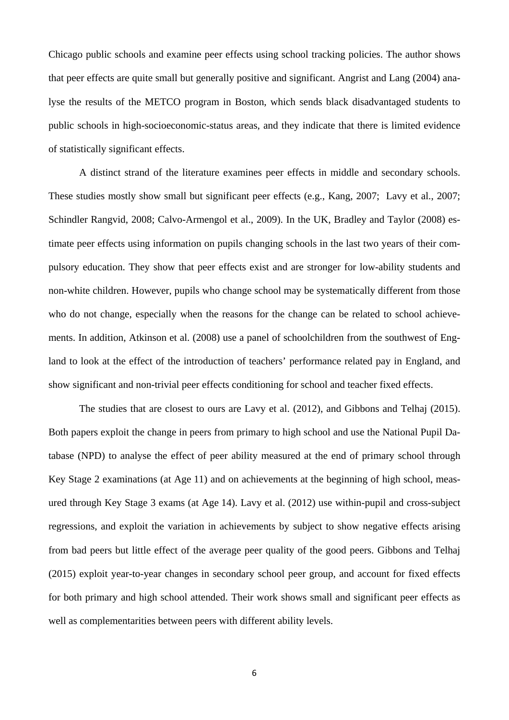Chicago public schools and examine peer effects using school tracking policies. The author shows that peer effects are quite small but generally positive and significant. Angrist and Lang (2004) analyse the results of the METCO program in Boston, which sends black disadvantaged students to public schools in high-socioeconomic-status areas, and they indicate that there is limited evidence of statistically significant effects.

 A distinct strand of the literature examines peer effects in middle and secondary schools. These studies mostly show small but significant peer effects (e.g., Kang, 2007; Lavy et al., 2007; Schindler Rangvid, 2008; Calvo-Armengol et al., 2009). In the UK, Bradley and Taylor (2008) estimate peer effects using information on pupils changing schools in the last two years of their compulsory education. They show that peer effects exist and are stronger for low-ability students and non-white children. However, pupils who change school may be systematically different from those who do not change, especially when the reasons for the change can be related to school achievements. In addition, Atkinson et al. (2008) use a panel of schoolchildren from the southwest of England to look at the effect of the introduction of teachers' performance related pay in England, and show significant and non-trivial peer effects conditioning for school and teacher fixed effects.

 The studies that are closest to ours are Lavy et al. (2012), and Gibbons and Telhaj (2015). Both papers exploit the change in peers from primary to high school and use the National Pupil Database (NPD) to analyse the effect of peer ability measured at the end of primary school through Key Stage 2 examinations (at Age 11) and on achievements at the beginning of high school, measured through Key Stage 3 exams (at Age 14). Lavy et al. (2012) use within-pupil and cross-subject regressions, and exploit the variation in achievements by subject to show negative effects arising from bad peers but little effect of the average peer quality of the good peers. Gibbons and Telhaj (2015) exploit year-to-year changes in secondary school peer group, and account for fixed effects for both primary and high school attended. Their work shows small and significant peer effects as well as complementarities between peers with different ability levels.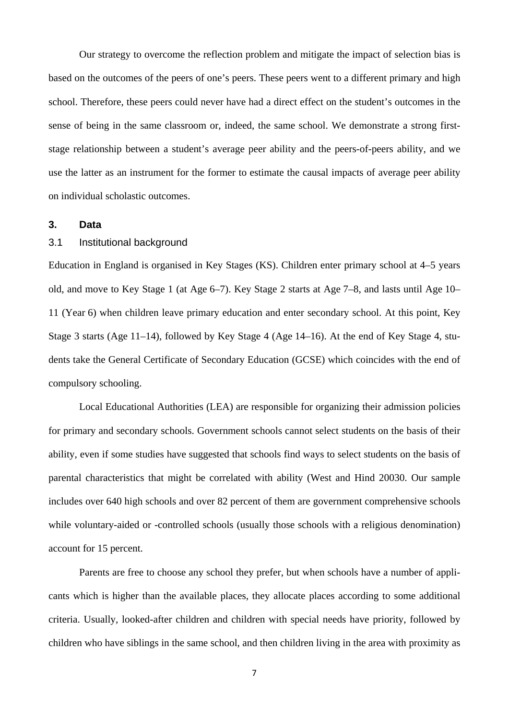Our strategy to overcome the reflection problem and mitigate the impact of selection bias is based on the outcomes of the peers of one's peers. These peers went to a different primary and high school. Therefore, these peers could never have had a direct effect on the student's outcomes in the sense of being in the same classroom or, indeed, the same school. We demonstrate a strong firststage relationship between a student's average peer ability and the peers-of-peers ability, and we use the latter as an instrument for the former to estimate the causal impacts of average peer ability on individual scholastic outcomes.

#### **3. Data**

#### 3.1 Institutional background

Education in England is organised in Key Stages (KS). Children enter primary school at 4–5 years old, and move to Key Stage 1 (at Age 6–7). Key Stage 2 starts at Age 7–8, and lasts until Age 10– 11 (Year 6) when children leave primary education and enter secondary school. At this point, Key Stage 3 starts (Age 11–14), followed by Key Stage 4 (Age 14–16). At the end of Key Stage 4, students take the General Certificate of Secondary Education (GCSE) which coincides with the end of compulsory schooling.

 Local Educational Authorities (LEA) are responsible for organizing their admission policies for primary and secondary schools. Government schools cannot select students on the basis of their ability, even if some studies have suggested that schools find ways to select students on the basis of parental characteristics that might be correlated with ability (West and Hind 20030. Our sample includes over 640 high schools and over 82 percent of them are government comprehensive schools while voluntary-aided or -controlled schools (usually those schools with a religious denomination) account for 15 percent.

Parents are free to choose any school they prefer, but when schools have a number of applicants which is higher than the available places, they allocate places according to some additional criteria. Usually, looked-after children and children with special needs have priority, followed by children who have siblings in the same school, and then children living in the area with proximity as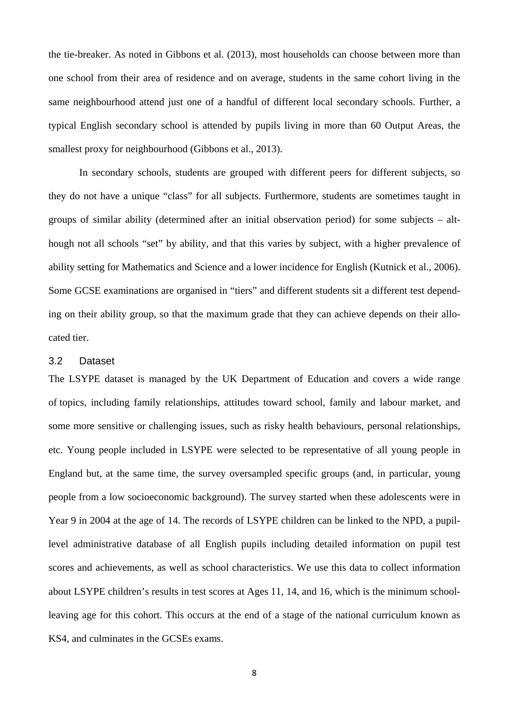the tie-breaker. As noted in Gibbons et al. (2013), most households can choose between more than one school from their area of residence and on average, students in the same cohort living in the same neighbourhood attend just one of a handful of different local secondary schools. Further, a typical English secondary school is attended by pupils living in more than 60 Output Areas, the smallest proxy for neighbourhood (Gibbons et al., 2013).

 In secondary schools, students are grouped with different peers for different subjects, so they do not have a unique "class" for all subjects. Furthermore, students are sometimes taught in groups of similar ability (determined after an initial observation period) for some subjects – although not all schools "set" by ability, and that this varies by subject, with a higher prevalence of ability setting for Mathematics and Science and a lower incidence for English (Kutnick et al., 2006). Some GCSE examinations are organised in "tiers" and different students sit a different test depending on their ability group, so that the maximum grade that they can achieve depends on their allocated tier.

#### 3.2 Dataset

The LSYPE dataset is managed by the UK Department of Education and covers a wide range of topics, including family relationships, attitudes toward school, family and labour market, and some more sensitive or challenging issues, such as risky health behaviours, personal relationships, etc. Young people included in LSYPE were selected to be representative of all young people in England but, at the same time, the survey oversampled specific groups (and, in particular, young people from a low socioeconomic background). The survey started when these adolescents were in Year 9 in 2004 at the age of 14. The records of LSYPE children can be linked to the NPD, a pupillevel administrative database of all English pupils including detailed information on pupil test scores and achievements, as well as school characteristics. We use this data to collect information about LSYPE children's results in test scores at Ages 11, 14, and 16, which is the minimum schoolleaving age for this cohort. This occurs at the end of a stage of the national curriculum known as KS4, and culminates in the GCSEs exams.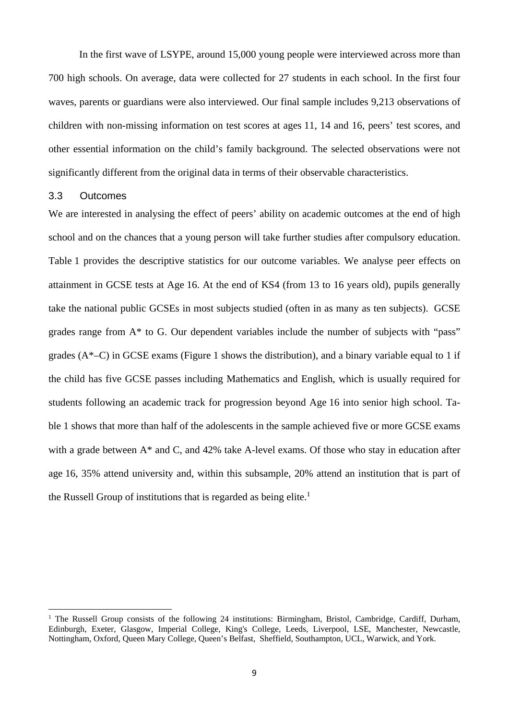In the first wave of LSYPE, around 15,000 young people were interviewed across more than 700 high schools. On average, data were collected for 27 students in each school. In the first four waves, parents or guardians were also interviewed. Our final sample includes 9,213 observations of children with non-missing information on test scores at ages 11, 14 and 16, peers' test scores, and other essential information on the child's family background. The selected observations were not significantly different from the original data in terms of their observable characteristics.

#### 3.3 Outcomes

We are interested in analysing the effect of peers' ability on academic outcomes at the end of high school and on the chances that a young person will take further studies after compulsory education. Table 1 provides the descriptive statistics for our outcome variables. We analyse peer effects on attainment in GCSE tests at Age 16. At the end of KS4 (from 13 to 16 years old), pupils generally take the national public GCSEs in most subjects studied (often in as many as ten subjects). GCSE grades range from A\* to G. Our dependent variables include the number of subjects with "pass" grades  $(A^*-C)$  in GCSE exams (Figure 1 shows the distribution), and a binary variable equal to 1 if the child has five GCSE passes including Mathematics and English, which is usually required for students following an academic track for progression beyond Age 16 into senior high school. Table 1 shows that more than half of the adolescents in the sample achieved five or more GCSE exams with a grade between A<sup>\*</sup> and C, and 42% take A-level exams. Of those who stay in education after age 16, 35% attend university and, within this subsample, 20% attend an institution that is part of the Russell Group of institutions that is regarded as being elite.<sup>1</sup>

<sup>&</sup>lt;sup>1</sup> The Russell Group consists of the following 24 institutions: Birmingham, Bristol, Cambridge, Cardiff, Durham, Edinburgh, Exeter, Glasgow, Imperial College, King's College, Leeds, Liverpool, LSE, Manchester, Newcastle, Nottingham, Oxford, Queen Mary College, Queen's Belfast, Sheffield, Southampton, UCL, Warwick, and York.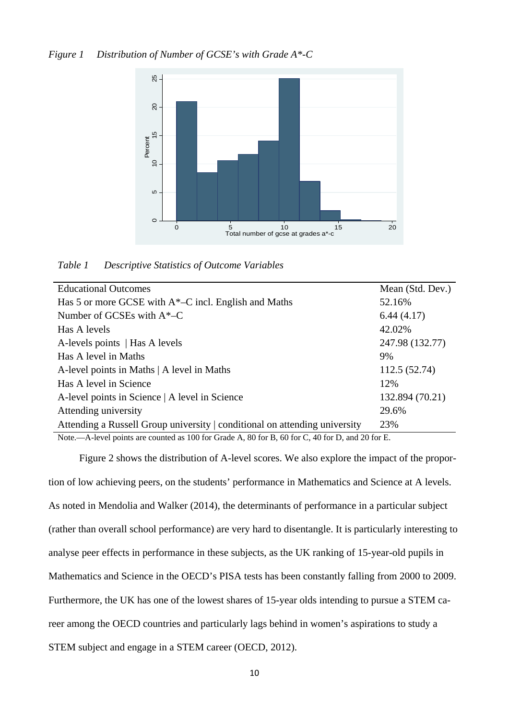

*Table 1 Descriptive Statistics of Outcome Variables* 

| Mean (Std. Dev.) |
|------------------|
| 52.16%           |
| 6.44(4.17)       |
| 42.02%           |
| 247.98 (132.77)  |
| 9%               |
| 112.5 (52.74)    |
| 12%              |
| 132.894 (70.21)  |
| 29.6%            |
| 23%              |
|                  |

Note.—A-level points are counted as 100 for Grade A, 80 for B, 60 for C, 40 for D, and 20 for E.

Figure 2 shows the distribution of A-level scores. We also explore the impact of the proportion of low achieving peers, on the students' performance in Mathematics and Science at A levels. As noted in Mendolia and Walker (2014), the determinants of performance in a particular subject (rather than overall school performance) are very hard to disentangle. It is particularly interesting to analyse peer effects in performance in these subjects, as the UK ranking of 15-year-old pupils in Mathematics and Science in the OECD's PISA tests has been constantly falling from 2000 to 2009. Furthermore, the UK has one of the lowest shares of 15-year olds intending to pursue a STEM career among the OECD countries and particularly lags behind in women's aspirations to study a STEM subject and engage in a STEM career (OECD, 2012).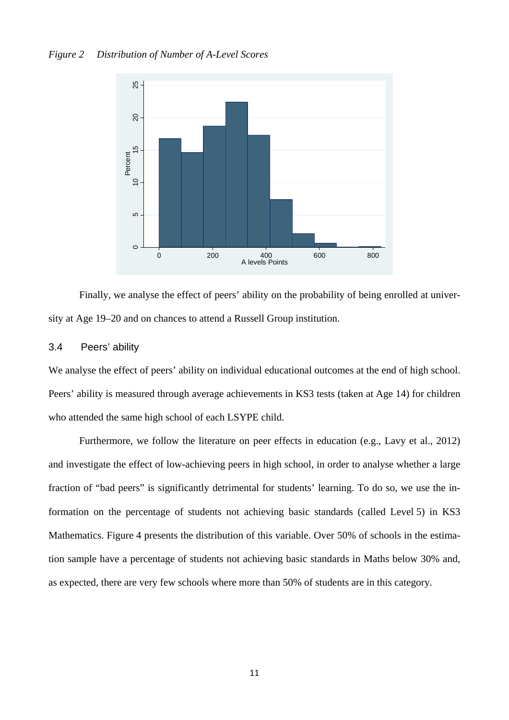

Finally, we analyse the effect of peers' ability on the probability of being enrolled at university at Age 19–20 and on chances to attend a Russell Group institution.

#### 3.4 Peers' ability

We analyse the effect of peers' ability on individual educational outcomes at the end of high school. Peers' ability is measured through average achievements in KS3 tests (taken at Age 14) for children who attended the same high school of each LSYPE child.

 Furthermore, we follow the literature on peer effects in education (e.g., Lavy et al., 2012) and investigate the effect of low-achieving peers in high school, in order to analyse whether a large fraction of "bad peers" is significantly detrimental for students' learning. To do so, we use the information on the percentage of students not achieving basic standards (called Level 5) in KS3 Mathematics. Figure 4 presents the distribution of this variable. Over 50% of schools in the estimation sample have a percentage of students not achieving basic standards in Maths below 30% and, as expected, there are very few schools where more than 50% of students are in this category.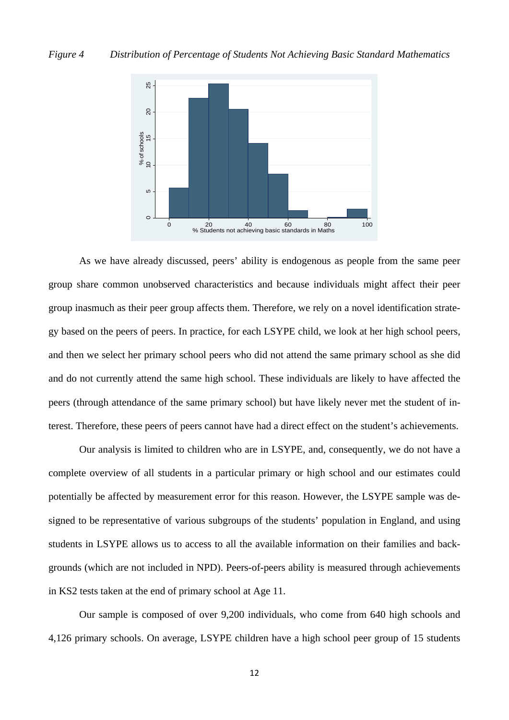

 As we have already discussed, peers' ability is endogenous as people from the same peer group share common unobserved characteristics and because individuals might affect their peer group inasmuch as their peer group affects them. Therefore, we rely on a novel identification strategy based on the peers of peers. In practice, for each LSYPE child, we look at her high school peers, and then we select her primary school peers who did not attend the same primary school as she did and do not currently attend the same high school. These individuals are likely to have affected the peers (through attendance of the same primary school) but have likely never met the student of interest. Therefore, these peers of peers cannot have had a direct effect on the student's achievements.

 Our analysis is limited to children who are in LSYPE, and, consequently, we do not have a complete overview of all students in a particular primary or high school and our estimates could potentially be affected by measurement error for this reason. However, the LSYPE sample was designed to be representative of various subgroups of the students' population in England, and using students in LSYPE allows us to access to all the available information on their families and backgrounds (which are not included in NPD). Peers-of-peers ability is measured through achievements in KS2 tests taken at the end of primary school at Age 11.

 Our sample is composed of over 9,200 individuals, who come from 640 high schools and 4,126 primary schools. On average, LSYPE children have a high school peer group of 15 students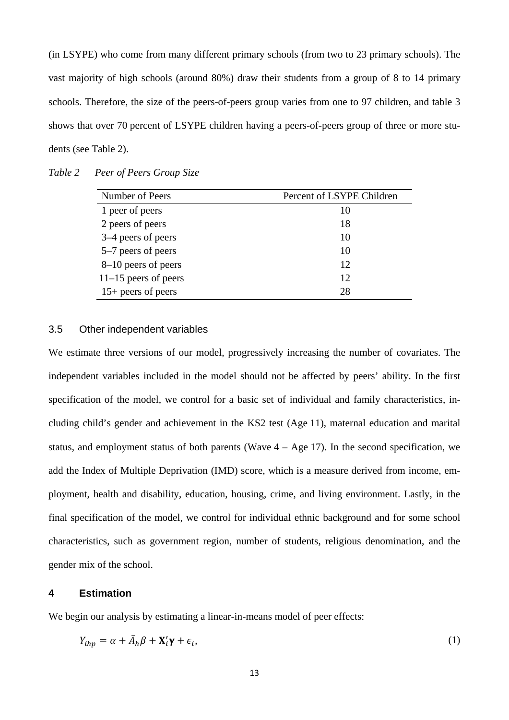(in LSYPE) who come from many different primary schools (from two to 23 primary schools). The vast majority of high schools (around 80%) draw their students from a group of 8 to 14 primary schools. Therefore, the size of the peers-of-peers group varies from one to 97 children, and table 3 shows that over 70 percent of LSYPE children having a peers-of-peers group of three or more students (see Table 2).

| Number of Peers        | Percent of LSYPE Children |
|------------------------|---------------------------|
| 1 peer of peers        | 10                        |
| 2 peers of peers       | 18                        |
| 3–4 peers of peers     | 10                        |
| 5–7 peers of peers     | 10                        |
| 8–10 peers of peers    | 12                        |
| $11-15$ peers of peers | 12                        |
| $15+$ peers of peers   | 28                        |

*Table 2 Peer of Peers Group Size* 

#### 3.5 Other independent variables

We estimate three versions of our model, progressively increasing the number of covariates. The independent variables included in the model should not be affected by peers' ability. In the first specification of the model, we control for a basic set of individual and family characteristics, including child's gender and achievement in the KS2 test (Age 11), maternal education and marital status, and employment status of both parents (Wave  $4 - Age 17$ ). In the second specification, we add the Index of Multiple Deprivation (IMD) score, which is a measure derived from income, employment, health and disability, education, housing, crime, and living environment. Lastly, in the final specification of the model, we control for individual ethnic background and for some school characteristics, such as government region, number of students, religious denomination, and the gender mix of the school.

#### **4 Estimation**

We begin our analysis by estimating a linear-in-means model of peer effects:

$$
Y_{ihp} = \alpha + \bar{A}_h \beta + \mathbf{X}'_i \mathbf{\gamma} + \epsilon_i,
$$
\n(1)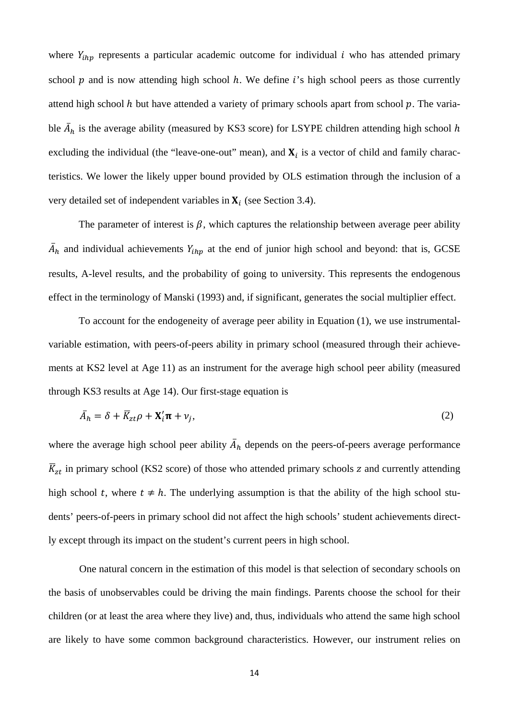where  $Y_{ihp}$  represents a particular academic outcome for individual  $i$  who has attended primary school  $p$  and is now attending high school  $h$ . We define  $i$ 's high school peers as those currently attend high school  $h$  but have attended a variety of primary schools apart from school  $p$ . The variable  $\bar{A}_h$  is the average ability (measured by KS3 score) for LSYPE children attending high school h excluding the individual (the "leave-one-out" mean), and  $X_i$  is a vector of child and family characteristics. We lower the likely upper bound provided by OLS estimation through the inclusion of a very detailed set of independent variables in  $X_i$  (see Section 3.4).

The parameter of interest is  $\beta$ , which captures the relationship between average peer ability  $\bar{A}_h$  and individual achievements  $Y_{ihp}$  at the end of junior high school and beyond: that is, GCSE results, A-level results, and the probability of going to university. This represents the endogenous effect in the terminology of Manski (1993) and, if significant, generates the social multiplier effect.

To account for the endogeneity of average peer ability in Equation (1), we use instrumentalvariable estimation, with peers-of-peers ability in primary school (measured through their achievements at KS2 level at Age 11) as an instrument for the average high school peer ability (measured through KS3 results at Age 14). Our first-stage equation is

$$
\bar{A}_h = \delta + \bar{K}_{zt}\rho + \mathbf{X}_i'\mathbf{\pi} + \nu_j,\tag{2}
$$

where the average high school peer ability  $\bar{A}_h$  depends on the peers-of-peers average performance  $\overline{K}_{zt}$  in primary school (KS2 score) of those who attended primary schools z and currently attending high school t, where  $t \neq h$ . The underlying assumption is that the ability of the high school students' peers-of-peers in primary school did not affect the high schools' student achievements directly except through its impact on the student's current peers in high school.

 One natural concern in the estimation of this model is that selection of secondary schools on the basis of unobservables could be driving the main findings. Parents choose the school for their children (or at least the area where they live) and, thus, individuals who attend the same high school are likely to have some common background characteristics. However, our instrument relies on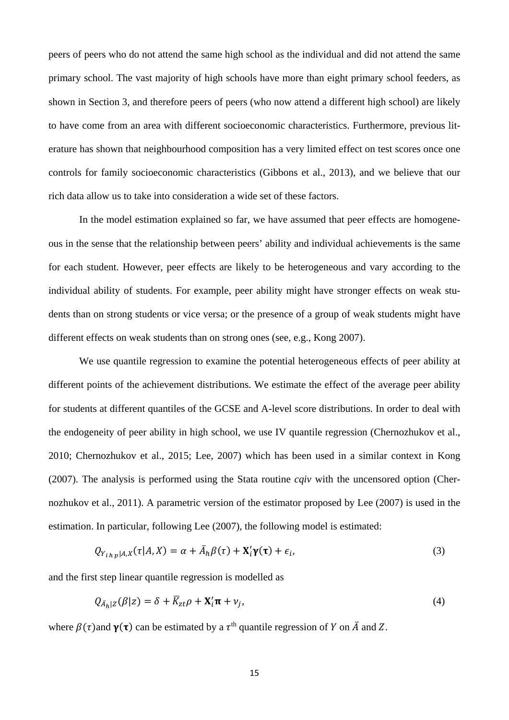peers of peers who do not attend the same high school as the individual and did not attend the same primary school. The vast majority of high schools have more than eight primary school feeders, as shown in Section 3, and therefore peers of peers (who now attend a different high school) are likely to have come from an area with different socioeconomic characteristics. Furthermore, previous literature has shown that neighbourhood composition has a very limited effect on test scores once one controls for family socioeconomic characteristics (Gibbons et al., 2013), and we believe that our rich data allow us to take into consideration a wide set of these factors.

 In the model estimation explained so far, we have assumed that peer effects are homogeneous in the sense that the relationship between peers' ability and individual achievements is the same for each student. However, peer effects are likely to be heterogeneous and vary according to the individual ability of students. For example, peer ability might have stronger effects on weak students than on strong students or vice versa; or the presence of a group of weak students might have different effects on weak students than on strong ones (see, e.g., Kong 2007).

 We use quantile regression to examine the potential heterogeneous effects of peer ability at different points of the achievement distributions. We estimate the effect of the average peer ability for students at different quantiles of the GCSE and A-level score distributions. In order to deal with the endogeneity of peer ability in high school, we use IV quantile regression (Chernozhukov et al., 2010; Chernozhukov et al., 2015; Lee, 2007) which has been used in a similar context in Kong (2007). The analysis is performed using the Stata routine *cqiv* with the uncensored option (Chernozhukov et al., 2011). A parametric version of the estimator proposed by Lee (2007) is used in the estimation. In particular, following Lee (2007), the following model is estimated:

$$
Q_{Y_{ihp}|A,X}(\tau|A,X) = \alpha + \bar{A}_h \beta(\tau) + \mathbf{X}_i' \mathbf{\gamma}(\tau) + \epsilon_i,
$$
\n(3)

and the first step linear quantile regression is modelled as

$$
Q_{\bar{A}_h|Z}(\beta|z) = \delta + \overline{K}_{zt}\rho + \mathbf{X}'_i \mathbf{\pi} + \nu_j,
$$
\n(4)

where  $\beta(\tau)$  and  $\gamma(\tau)$  can be estimated by a  $\tau^{\text{th}}$  quantile regression of Y on  $\overline{A}$  and Z.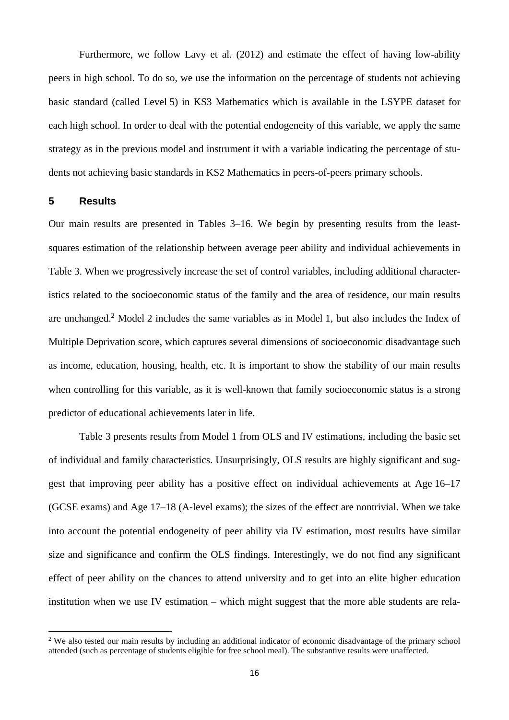Furthermore, we follow Lavy et al. (2012) and estimate the effect of having low-ability peers in high school. To do so, we use the information on the percentage of students not achieving basic standard (called Level 5) in KS3 Mathematics which is available in the LSYPE dataset for each high school. In order to deal with the potential endogeneity of this variable, we apply the same strategy as in the previous model and instrument it with a variable indicating the percentage of students not achieving basic standards in KS2 Mathematics in peers-of-peers primary schools.

#### **5 Results**

Our main results are presented in Tables 3–16. We begin by presenting results from the leastsquares estimation of the relationship between average peer ability and individual achievements in Table 3. When we progressively increase the set of control variables, including additional characteristics related to the socioeconomic status of the family and the area of residence, our main results are unchanged.<sup>2</sup> Model 2 includes the same variables as in Model 1, but also includes the Index of Multiple Deprivation score, which captures several dimensions of socioeconomic disadvantage such as income, education, housing, health, etc. It is important to show the stability of our main results when controlling for this variable, as it is well-known that family socioeconomic status is a strong predictor of educational achievements later in life.

 Table 3 presents results from Model 1 from OLS and IV estimations, including the basic set of individual and family characteristics. Unsurprisingly, OLS results are highly significant and suggest that improving peer ability has a positive effect on individual achievements at Age 16–17 (GCSE exams) and Age 17–18 (A-level exams); the sizes of the effect are nontrivial. When we take into account the potential endogeneity of peer ability via IV estimation, most results have similar size and significance and confirm the OLS findings. Interestingly, we do not find any significant effect of peer ability on the chances to attend university and to get into an elite higher education institution when we use IV estimation – which might suggest that the more able students are rela-

<sup>&</sup>lt;sup>2</sup> We also tested our main results by including an additional indicator of economic disadvantage of the primary school attended (such as percentage of students eligible for free school meal). The substantive results were unaffected.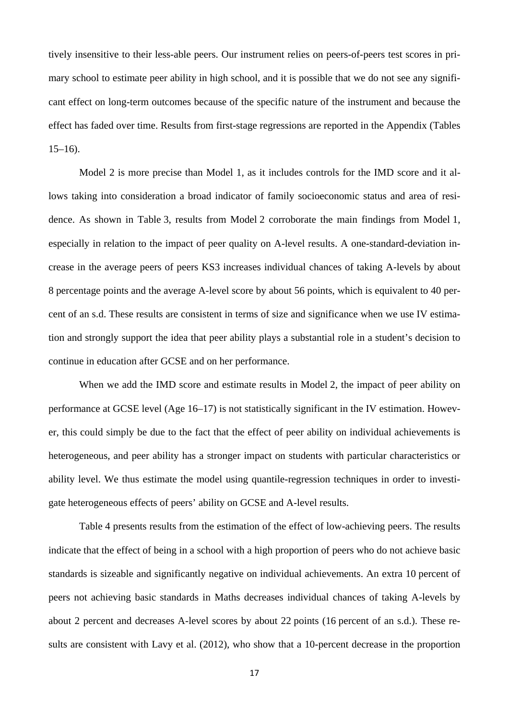tively insensitive to their less-able peers. Our instrument relies on peers-of-peers test scores in primary school to estimate peer ability in high school, and it is possible that we do not see any significant effect on long-term outcomes because of the specific nature of the instrument and because the effect has faded over time. Results from first-stage regressions are reported in the Appendix (Tables  $15-16$ ).

Model 2 is more precise than Model 1, as it includes controls for the IMD score and it allows taking into consideration a broad indicator of family socioeconomic status and area of residence. As shown in Table 3, results from Model 2 corroborate the main findings from Model 1, especially in relation to the impact of peer quality on A-level results. A one-standard-deviation increase in the average peers of peers KS3 increases individual chances of taking A-levels by about 8 percentage points and the average A-level score by about 56 points, which is equivalent to 40 percent of an s.d. These results are consistent in terms of size and significance when we use IV estimation and strongly support the idea that peer ability plays a substantial role in a student's decision to continue in education after GCSE and on her performance.

 When we add the IMD score and estimate results in Model 2, the impact of peer ability on performance at GCSE level (Age 16–17) is not statistically significant in the IV estimation. However, this could simply be due to the fact that the effect of peer ability on individual achievements is heterogeneous, and peer ability has a stronger impact on students with particular characteristics or ability level. We thus estimate the model using quantile-regression techniques in order to investigate heterogeneous effects of peers' ability on GCSE and A-level results.

 Table 4 presents results from the estimation of the effect of low-achieving peers. The results indicate that the effect of being in a school with a high proportion of peers who do not achieve basic standards is sizeable and significantly negative on individual achievements. An extra 10 percent of peers not achieving basic standards in Maths decreases individual chances of taking A-levels by about 2 percent and decreases A-level scores by about 22 points (16 percent of an s.d.). These results are consistent with Lavy et al. (2012), who show that a 10-percent decrease in the proportion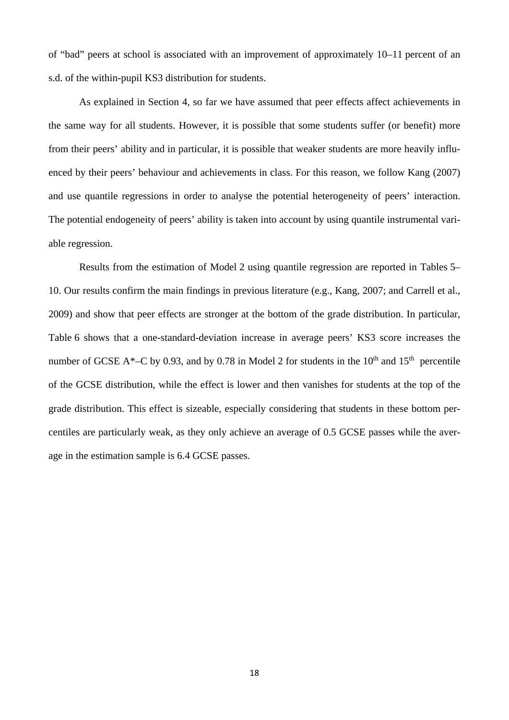of "bad" peers at school is associated with an improvement of approximately 10–11 percent of an s.d. of the within-pupil KS3 distribution for students.

As explained in Section 4, so far we have assumed that peer effects affect achievements in the same way for all students. However, it is possible that some students suffer (or benefit) more from their peers' ability and in particular, it is possible that weaker students are more heavily influenced by their peers' behaviour and achievements in class. For this reason, we follow Kang (2007) and use quantile regressions in order to analyse the potential heterogeneity of peers' interaction. The potential endogeneity of peers' ability is taken into account by using quantile instrumental variable regression.

 Results from the estimation of Model 2 using quantile regression are reported in Tables 5– 10. Our results confirm the main findings in previous literature (e.g., Kang, 2007; and Carrell et al., 2009) and show that peer effects are stronger at the bottom of the grade distribution. In particular, Table 6 shows that a one-standard-deviation increase in average peers' KS3 score increases the number of GCSE A\*–C by 0.93, and by 0.78 in Model 2 for students in the  $10^{th}$  and  $15^{th}$  percentile of the GCSE distribution, while the effect is lower and then vanishes for students at the top of the grade distribution. This effect is sizeable, especially considering that students in these bottom percentiles are particularly weak, as they only achieve an average of 0.5 GCSE passes while the average in the estimation sample is 6.4 GCSE passes.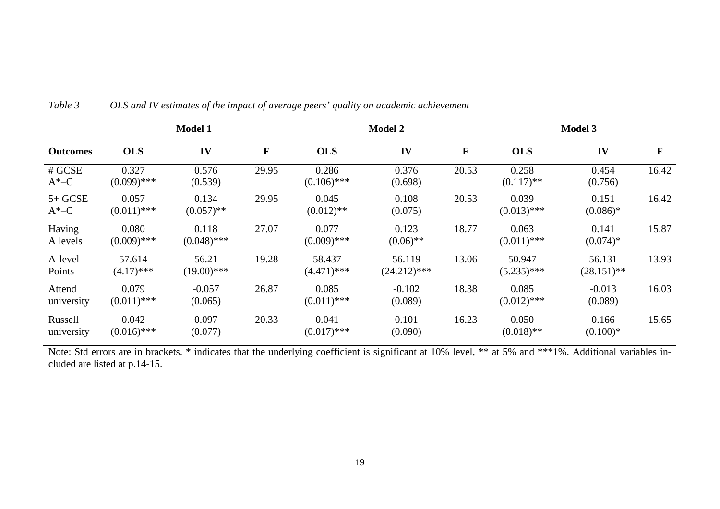|                       | <b>Model 1</b>         |                        |             |                         | <b>Model 2</b>           |       |                         | <b>Model 3</b>          |       |  |
|-----------------------|------------------------|------------------------|-------------|-------------------------|--------------------------|-------|-------------------------|-------------------------|-------|--|
| <b>Outcomes</b>       | <b>OLS</b>             | IV                     | $\mathbf F$ | <b>OLS</b>              | IV                       | F     | <b>OLS</b>              | IV                      | F     |  |
| # GCSE<br>$A^*$ –C    | 0.327<br>$(0.099)$ *** | 0.576<br>(0.539)       | 29.95       | 0.286<br>$(0.106)$ ***  | 0.376<br>(0.698)         | 20.53 | 0.258<br>$(0.117)$ **   | 0.454<br>(0.756)        | 16.42 |  |
| $5+GCSE$<br>$A^*$ –C  | 0.057<br>$(0.011)$ *** | 0.134<br>$(0.057)$ **  | 29.95       | 0.045<br>$(0.012)$ **   | 0.108<br>(0.075)         | 20.53 | 0.039<br>$(0.013)$ ***  | 0.151<br>$(0.086)*$     | 16.42 |  |
| Having<br>A levels    | 0.080<br>$(0.009)$ *** | 0.118<br>$(0.048)$ *** | 27.07       | 0.077<br>$(0.009)$ ***  | 0.123<br>$(0.06)$ **     | 18.77 | 0.063<br>$(0.011)$ ***  | 0.141<br>$(0.074)*$     | 15.87 |  |
| A-level<br>Points     | 57.614<br>$(4.17)$ *** | 56.21<br>$(19.00)$ *** | 19.28       | 58.437<br>$(4.471)$ *** | 56.119<br>$(24.212)$ *** | 13.06 | 50.947<br>$(5.235)$ *** | 56.131<br>$(28.151)$ ** | 13.93 |  |
| Attend<br>university  | 0.079<br>$(0.011)$ *** | $-0.057$<br>(0.065)    | 26.87       | 0.085<br>$(0.011)$ ***  | $-0.102$<br>(0.089)      | 18.38 | 0.085<br>$(0.012)$ ***  | $-0.013$<br>(0.089)     | 16.03 |  |
| Russell<br>university | 0.042<br>$(0.016)$ *** | 0.097<br>(0.077)       | 20.33       | 0.041<br>$(0.017)$ ***  | 0.101<br>(0.090)         | 16.23 | 0.050<br>$(0.018)$ **   | 0.166<br>$(0.100)*$     | 15.65 |  |

#### *Table 3 OLS and IV estimates of the impact of average peers' quality on academic achievement*

Note: Std errors are in brackets. \* indicates that the underlying coefficient is significant at 10% level, \*\* at 5% and \*\*\*1%. Additional variables included are listed at p.14-15.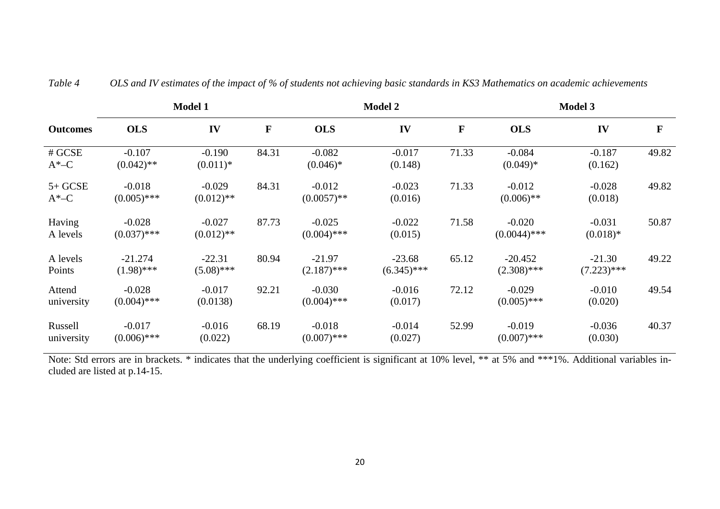|                       | <b>Model 1</b>            |                          |       | <b>Model 2</b>            |                           |             | <b>Model 3</b>             |                           |       |
|-----------------------|---------------------------|--------------------------|-------|---------------------------|---------------------------|-------------|----------------------------|---------------------------|-------|
| <b>Outcomes</b>       | <b>OLS</b>                | IV                       | F     | <b>OLS</b>                | IV                        | $\mathbf F$ | <b>OLS</b>                 | IV                        | F     |
| # GCSE<br>$A^*$ –C    | $-0.107$<br>$(0.042)$ **  | $-0.190$<br>$(0.011)*$   | 84.31 | $-0.082$<br>$(0.046)*$    | $-0.017$<br>(0.148)       | 71.33       | $-0.084$<br>$(0.049)*$     | $-0.187$<br>(0.162)       | 49.82 |
| $5+GCSE$<br>$A^*$ –C  | $-0.018$<br>$(0.005)$ *** | $-0.029$<br>$(0.012)$ ** | 84.31 | $-0.012$<br>$(0.0057)$ ** | $-0.023$<br>(0.016)       | 71.33       | $-0.012$<br>$(0.006)$ **   | $-0.028$<br>(0.018)       | 49.82 |
| Having<br>A levels    | $-0.028$<br>$(0.037)$ *** | $-0.027$<br>$(0.012)$ ** | 87.73 | $-0.025$<br>$(0.004)$ *** | $-0.022$<br>(0.015)       | 71.58       | $-0.020$<br>$(0.0044)$ *** | $-0.031$<br>$(0.018)*$    | 50.87 |
| A levels<br>Points    | $-21.274$<br>$(1.98)$ *** | $-22.31$<br>$(5.08)$ *** | 80.94 | $-21.97$<br>$(2.187)$ *** | $-23.68$<br>$(6.345)$ *** | 65.12       | $-20.452$<br>$(2.308)$ *** | $-21.30$<br>$(7.223)$ *** | 49.22 |
| Attend<br>university  | $-0.028$<br>$(0.004)$ *** | $-0.017$<br>(0.0138)     | 92.21 | $-0.030$<br>$(0.004)$ *** | $-0.016$<br>(0.017)       | 72.12       | $-0.029$<br>$(0.005)$ ***  | $-0.010$<br>(0.020)       | 49.54 |
| Russell<br>university | $-0.017$<br>$(0.006)$ *** | $-0.016$<br>(0.022)      | 68.19 | $-0.018$<br>$(0.007)$ *** | $-0.014$<br>(0.027)       | 52.99       | $-0.019$<br>$(0.007)$ ***  | $-0.036$<br>(0.030)       | 40.37 |

*Table 4 OLS and IV estimates of the impact of % of students not achieving basic standards in KS3 Mathematics on academic achievements* 

Note: Std errors are in brackets. \* indicates that the underlying coefficient is significant at 10% level, \*\* at 5% and \*\*\*1%. Additional variables included are listed at p.14-15.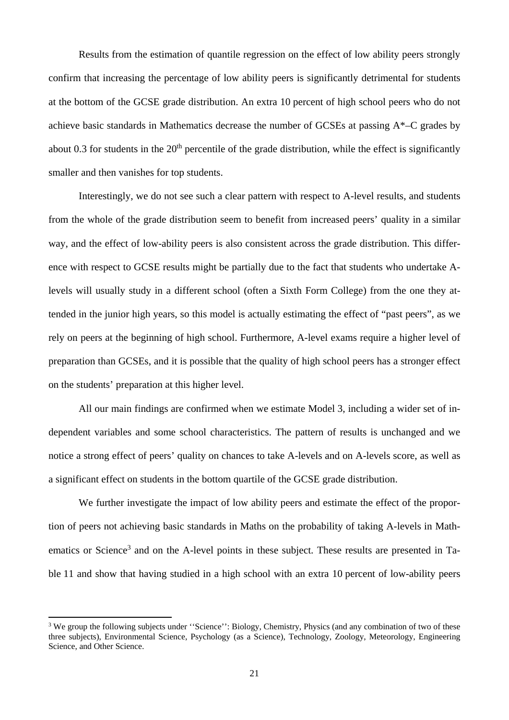Results from the estimation of quantile regression on the effect of low ability peers strongly confirm that increasing the percentage of low ability peers is significantly detrimental for students at the bottom of the GCSE grade distribution. An extra 10 percent of high school peers who do not achieve basic standards in Mathematics decrease the number of GCSEs at passing A\*–C grades by about 0.3 for students in the  $20<sup>th</sup>$  percentile of the grade distribution, while the effect is significantly smaller and then vanishes for top students.

Interestingly, we do not see such a clear pattern with respect to A-level results, and students from the whole of the grade distribution seem to benefit from increased peers' quality in a similar way, and the effect of low-ability peers is also consistent across the grade distribution. This difference with respect to GCSE results might be partially due to the fact that students who undertake Alevels will usually study in a different school (often a Sixth Form College) from the one they attended in the junior high years, so this model is actually estimating the effect of "past peers", as we rely on peers at the beginning of high school. Furthermore, A-level exams require a higher level of preparation than GCSEs, and it is possible that the quality of high school peers has a stronger effect on the students' preparation at this higher level.

All our main findings are confirmed when we estimate Model 3, including a wider set of independent variables and some school characteristics. The pattern of results is unchanged and we notice a strong effect of peers' quality on chances to take A-levels and on A-levels score, as well as a significant effect on students in the bottom quartile of the GCSE grade distribution.

We further investigate the impact of low ability peers and estimate the effect of the proportion of peers not achieving basic standards in Maths on the probability of taking A-levels in Mathematics or Science<sup>3</sup> and on the A-level points in these subject. These results are presented in Table 11 and show that having studied in a high school with an extra 10 percent of low-ability peers

<sup>&</sup>lt;sup>3</sup> We group the following subjects under "Science": Biology, Chemistry, Physics (and any combination of two of these three subjects), Environmental Science, Psychology (as a Science), Technology, Zoology, Meteorology, Engineering Science, and Other Science.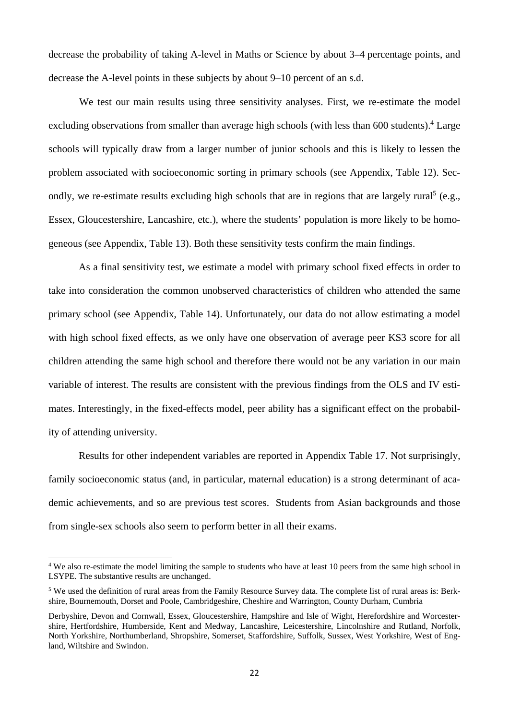decrease the probability of taking A-level in Maths or Science by about 3–4 percentage points, and decrease the A-level points in these subjects by about 9–10 percent of an s.d.

 We test our main results using three sensitivity analyses. First, we re-estimate the model excluding observations from smaller than average high schools (with less than 600 students).<sup>4</sup> Large schools will typically draw from a larger number of junior schools and this is likely to lessen the problem associated with socioeconomic sorting in primary schools (see Appendix, Table 12). Secondly, we re-estimate results excluding high schools that are in regions that are largely rural<sup>5</sup> (e.g., Essex, Gloucestershire, Lancashire, etc.), where the students' population is more likely to be homogeneous (see Appendix, Table 13). Both these sensitivity tests confirm the main findings.

As a final sensitivity test, we estimate a model with primary school fixed effects in order to take into consideration the common unobserved characteristics of children who attended the same primary school (see Appendix, Table 14). Unfortunately, our data do not allow estimating a model with high school fixed effects, as we only have one observation of average peer KS3 score for all children attending the same high school and therefore there would not be any variation in our main variable of interest. The results are consistent with the previous findings from the OLS and IV estimates. Interestingly, in the fixed-effects model, peer ability has a significant effect on the probability of attending university.

Results for other independent variables are reported in Appendix Table 17. Not surprisingly, family socioeconomic status (and, in particular, maternal education) is a strong determinant of academic achievements, and so are previous test scores. Students from Asian backgrounds and those from single-sex schools also seem to perform better in all their exams.

<sup>&</sup>lt;sup>4</sup> We also re-estimate the model limiting the sample to students who have at least 10 peers from the same high school in LSYPE. The substantive results are unchanged.

<sup>&</sup>lt;sup>5</sup> We used the definition of rural areas from the Family Resource Survey data. The complete list of rural areas is: Berkshire, Bournemouth, Dorset and Poole, Cambridgeshire, Cheshire and Warrington, County Durham, Cumbria

Derbyshire, Devon and Cornwall, Essex, Gloucestershire, Hampshire and Isle of Wight, Herefordshire and Worcestershire, Hertfordshire, Humberside, Kent and Medway, Lancashire, Leicestershire, Lincolnshire and Rutland, Norfolk, North Yorkshire, Northumberland, Shropshire, Somerset, Staffordshire, Suffolk, Sussex, West Yorkshire, West of England, Wiltshire and Swindon.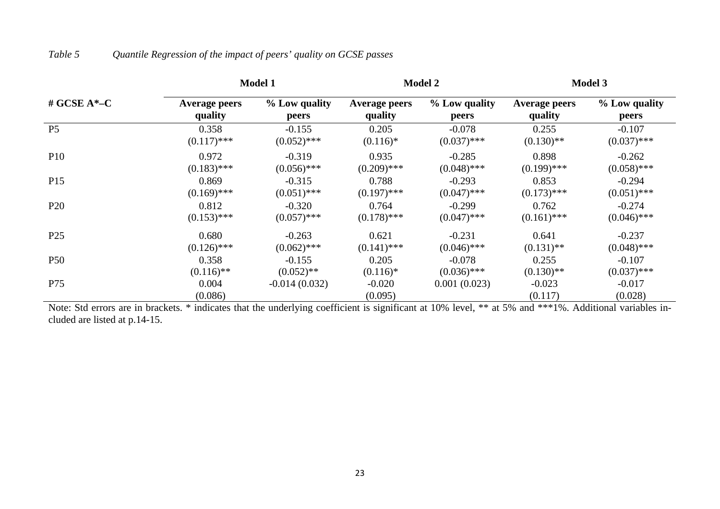|                 |                      | <b>Model 1</b>  |                      | <b>Model 2</b> | <b>Model 3</b>       |                     |
|-----------------|----------------------|-----------------|----------------------|----------------|----------------------|---------------------|
| # GCSE $A*-C$   | <b>Average peers</b> | % Low quality   | <b>Average peers</b> | % Low quality  | <b>Average peers</b> | % Low quality       |
|                 | quality              | peers           | quality              | peers          | quality              | peers               |
| P <sub>5</sub>  | 0.358                | $-0.155$        | 0.205                | $-0.078$       | 0.255                | $-0.107$            |
|                 | $(0.117)$ ***        | $(0.052)$ ***   | $(0.116)*$           | $(0.037)$ ***  | $(0.130)$ **         | $(0.037)$ ***       |
| <b>P10</b>      | 0.972                | $-0.319$        | 0.935                | $-0.285$       | 0.898                | $-0.262$            |
|                 | $(0.183)$ ***        | $(0.056)$ ***   | $(0.209)$ ***        | $(0.048)$ ***  | $(0.199)$ ***        | $(0.058)$ ***       |
| P15             | 0.869                | $-0.315$        | 0.788                | $-0.293$       | 0.853                | $-0.294$            |
|                 | $(0.169)$ ***        | $(0.051)$ ***   | $(0.197)$ ***        | $(0.047)$ ***  | $(0.173)$ ***        | $(0.051)$ ***       |
| P <sub>20</sub> | 0.812                | $-0.320$        | 0.764                | $-0.299$       | 0.762                | $-0.274$            |
|                 | $(0.153)$ ***        | $(0.057)$ ***   | $(0.178)$ ***        | $(0.047)$ ***  | $(0.161)$ ***        | $(0.046)$ ***       |
| P <sub>25</sub> | 0.680                | $-0.263$        | 0.621                | $-0.231$       | 0.641                | $-0.237$            |
|                 | $(0.126)$ ***        | $(0.062)$ ***   | $(0.141)$ ***        | $(0.046)$ ***  | $(0.131)$ **         | $(0.048)$ ***       |
| P <sub>50</sub> | 0.358                | $-0.155$        | 0.205                | $-0.078$       | 0.255                | $-0.107$            |
|                 | $(0.116)$ **         | $(0.052)$ **    | $(0.116)*$           | $(0.036)$ ***  | $(0.130)$ **         | $(0.037)$ ***       |
| P75             | 0.004<br>(0.086)     | $-0.014(0.032)$ | $-0.020$<br>(0.095)  | 0.001(0.023)   | $-0.023$<br>(0.117)  | $-0.017$<br>(0.028) |

### *Table 5 Quantile Regression of the impact of peers' quality on GCSE passes*

Note: Std errors are in brackets. \* indicates that the underlying coefficient is significant at 10% level, \*\* at 5% and \*\*\*1%. Additional variables included are listed at p.14-15.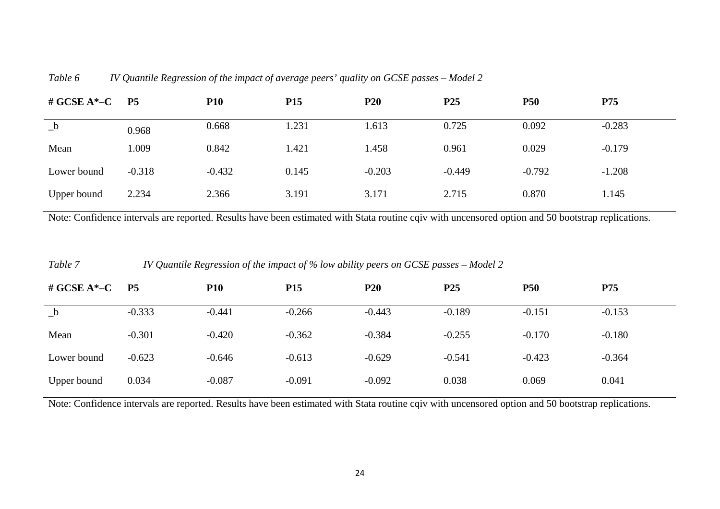| Table 6 |  | IV Quantile Regression of the impact of average peers' quality on GCSE passes – Model 2 |  |
|---------|--|-----------------------------------------------------------------------------------------|--|
|         |  |                                                                                         |  |

| # GCSE $A^*-C$ P5 |          | <b>P10</b> | P <sub>15</sub> | <b>P20</b> | P <sub>25</sub> | <b>P50</b> | P75      |
|-------------------|----------|------------|-----------------|------------|-----------------|------------|----------|
| $_{-}b$           | 0.968    | 0.668      | 1.231           | 1.613      | 0.725           | 0.092      | $-0.283$ |
| Mean              | 1.009    | 0.842      | 1.421           | 1.458      | 0.961           | 0.029      | $-0.179$ |
| Lower bound       | $-0.318$ | $-0.432$   | 0.145           | $-0.203$   | $-0.449$        | $-0.792$   | $-1.208$ |
| Upper bound       | 2.234    | 2.366      | 3.191           | 3.171      | 2.715           | 0.870      | 1.145    |

Note: Confidence intervals are reported. Results have been estimated with Stata routine cqiv with uncensored option and 50 bootstrap replications.

| Table 7        | IV Quantile Regression of the impact of % low ability peers on GCSE passes – Model 2 |            |            |                 |                 |            |            |  |
|----------------|--------------------------------------------------------------------------------------|------------|------------|-----------------|-----------------|------------|------------|--|
| # GCSE $A^*-C$ | <b>P5</b>                                                                            | <b>P10</b> | <b>P15</b> | P <sub>20</sub> | P <sub>25</sub> | <b>P50</b> | <b>P75</b> |  |
| $_b$           | $-0.333$                                                                             | $-0.441$   | $-0.266$   | $-0.443$        | $-0.189$        | $-0.151$   | $-0.153$   |  |
| Mean           | $-0.301$                                                                             | $-0.420$   | $-0.362$   | $-0.384$        | $-0.255$        | $-0.170$   | $-0.180$   |  |
| Lower bound    | $-0.623$                                                                             | $-0.646$   | $-0.613$   | $-0.629$        | $-0.541$        | $-0.423$   | $-0.364$   |  |
| Upper bound    | 0.034                                                                                | $-0.087$   | $-0.091$   | $-0.092$        | 0.038           | 0.069      | 0.041      |  |

Note: Confidence intervals are reported. Results have been estimated with Stata routine cqiv with uncensored option and 50 bootstrap replications.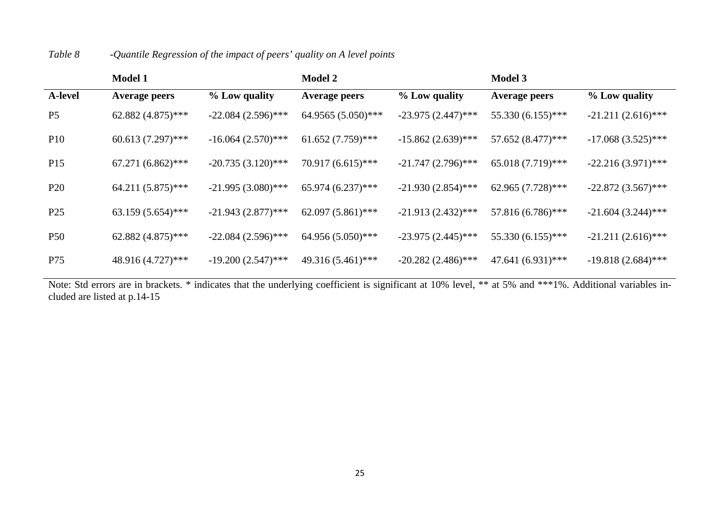|                 | <b>Model 1</b>       |                      | <b>Model 2</b>       |                      | <b>Model 3</b>       |                      |
|-----------------|----------------------|----------------------|----------------------|----------------------|----------------------|----------------------|
| <b>A-level</b>  | <b>Average peers</b> | % Low quality        | <b>Average peers</b> | % Low quality        | <b>Average peers</b> | % Low quality        |
| P <sub>5</sub>  | 62.882 (4.875)***    | $-22.084(2.596)$ *** | 64.9565 (5.050)***   | $-23.975(2.447)$ *** | 55.330 (6.155)***    | $-21.211(2.616)$ *** |
| <b>P10</b>      | $60.613(7.297)$ ***  | $-16.064(2.570)$ *** | $61.652(7.759)$ ***  | $-15.862(2.639)$ *** | 57.652 (8.477)***    | $-17.068(3.525)$ *** |
| P <sub>15</sub> | $67.271(6.862)$ ***  | $-20.735(3.120)$ *** | 70.917 (6.615)***    | $-21.747(2.796)$ *** | $65.018(7.719)$ ***  | $-22.216(3.971)$ *** |
| <b>P20</b>      | $64.211(5.875)$ ***  | $-21.995(3.080)$ *** | $65.974(6.237)$ ***  | $-21.930(2.854)$ *** | 62.965 (7.728)***    | $-22.872(3.567)$ *** |
| P <sub>25</sub> | $63.159(5.654)$ ***  | $-21.943(2.877)$ *** | $62.097(5.861)$ ***  | $-21.913(2.432)$ *** | 57.816 (6.786)***    | $-21.604(3.244)$ *** |
| <b>P50</b>      | 62.882 $(4.875)$ *** | $-22.084(2.596)$ *** | 64.956 (5.050)***    | $-23.975(2.445)$ *** | 55.330 (6.155)***    | $-21.211(2.616)$ *** |
| P75             | 48.916 (4.727)***    | $-19.200(2.547)$ *** | 49.316 (5.461)***    | $-20.282(2.486)$ *** | 47.641 (6.931)***    | $-19.818(2.684)$ *** |

### *Table 8 -Quantile Regression of the impact of peers' quality on A level points*

Note: Std errors are in brackets. \* indicates that the underlying coefficient is significant at 10% level, \*\* at 5% and \*\*\*1%. Additional variables included are listed at p.14-15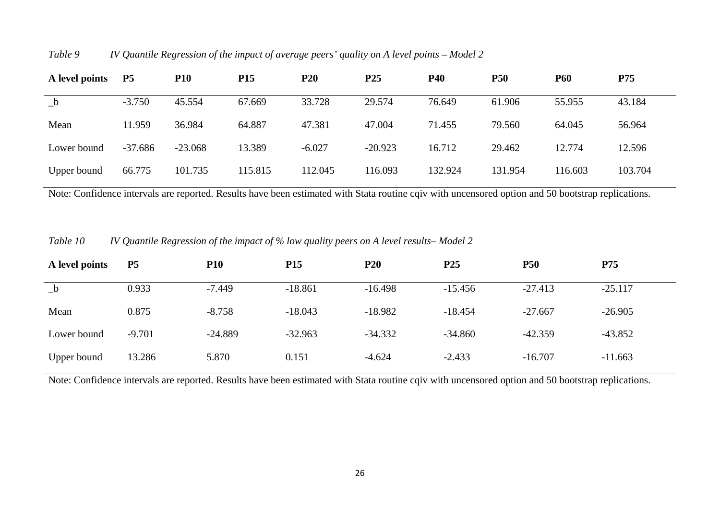| A level points | <b>P5</b> | <b>P10</b> | <b>P15</b> | <b>P20</b> | P <sub>25</sub> | <b>P40</b> | <b>P50</b> | <b>P60</b> | <b>P75</b> |
|----------------|-----------|------------|------------|------------|-----------------|------------|------------|------------|------------|
| $_b$           | $-3.750$  | 45.554     | 67.669     | 33.728     | 29.574          | 76.649     | 61.906     | 55.955     | 43.184     |
| Mean           | 11.959    | 36.984     | 64.887     | 47.381     | 47.004          | 71.455     | 79.560     | 64.045     | 56.964     |
| Lower bound    | $-37.686$ | $-23.068$  | 13.389     | $-6.027$   | $-20.923$       | 16.712     | 29.462     | 12.774     | 12.596     |
| Upper bound    | 66.775    | 101.735    | 115.815    | 112.045    | 116.093         | 132.924    | 131.954    | 116.603    | 103.704    |

*Table 9 IV Quantile Regression of the impact of average peers' quality on A level points – Model 2* 

Note: Confidence intervals are reported. Results have been estimated with Stata routine cqiv with uncensored option and 50 bootstrap replications.

*Table 10 IV Quantile Regression of the impact of % low quality peers on A level results– Model 2*

| A level points | <b>P5</b> | <b>P10</b> | <b>P15</b> | P <sub>20</sub> | P <sub>25</sub> | <b>P50</b> | P75       |
|----------------|-----------|------------|------------|-----------------|-----------------|------------|-----------|
| $_b$           | 0.933     | $-7.449$   | $-18.861$  | $-16.498$       | $-15.456$       | $-27.413$  | $-25.117$ |
| Mean           | 0.875     | $-8.758$   | $-18.043$  | $-18.982$       | $-18.454$       | $-27.667$  | $-26.905$ |
| Lower bound    | $-9.701$  | $-24.889$  | $-32.963$  | $-34.332$       | $-34.860$       | $-42.359$  | $-43.852$ |
| Upper bound    | 13.286    | 5.870      | 0.151      | $-4.624$        | $-2.433$        | $-16.707$  | $-11.663$ |

Note: Confidence intervals are reported. Results have been estimated with Stata routine cqiv with uncensored option and 50 bootstrap replications.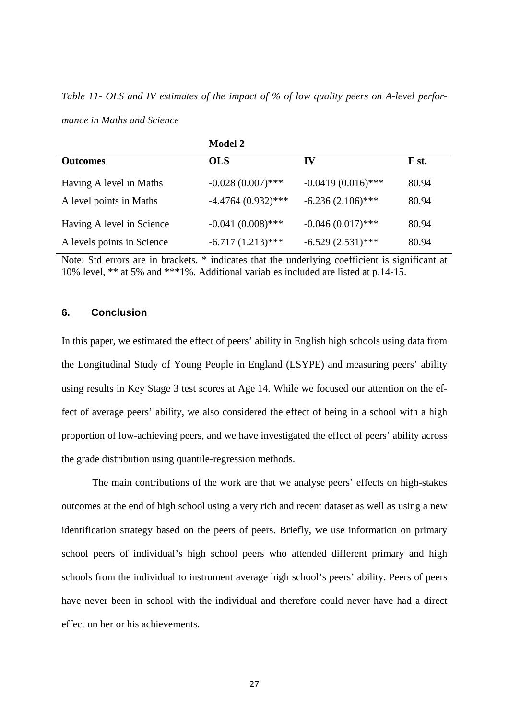*Table 11- OLS and IV estimates of the impact of % of low quality peers on A-level performance in Maths and Science* 

|                            | <b>Model 2</b>       |                      |       |
|----------------------------|----------------------|----------------------|-------|
| <b>Outcomes</b>            | <b>OLS</b>           | IV                   | F st. |
| Having A level in Maths    | $-0.028(0.007)$ ***  | $-0.0419(0.016)$ *** | 80.94 |
| A level points in Maths    | $-4.4764(0.932)$ *** | $-6.236(2.106)$ ***  | 80.94 |
| Having A level in Science  | $-0.041(0.008)$ ***  | $-0.046(0.017)$ ***  | 80.94 |
| A levels points in Science | $-6.717(1.213)$ ***  | $-6.529(2.531)$ ***  | 80.94 |

Note: Std errors are in brackets. \* indicates that the underlying coefficient is significant at 10% level, \*\* at 5% and \*\*\*1%. Additional variables included are listed at p.14-15.

#### **6. Conclusion**

In this paper, we estimated the effect of peers' ability in English high schools using data from the Longitudinal Study of Young People in England (LSYPE) and measuring peers' ability using results in Key Stage 3 test scores at Age 14. While we focused our attention on the effect of average peers' ability, we also considered the effect of being in a school with a high proportion of low-achieving peers, and we have investigated the effect of peers' ability across the grade distribution using quantile-regression methods.

 The main contributions of the work are that we analyse peers' effects on high-stakes outcomes at the end of high school using a very rich and recent dataset as well as using a new identification strategy based on the peers of peers. Briefly, we use information on primary school peers of individual's high school peers who attended different primary and high schools from the individual to instrument average high school's peers' ability. Peers of peers have never been in school with the individual and therefore could never have had a direct effect on her or his achievements.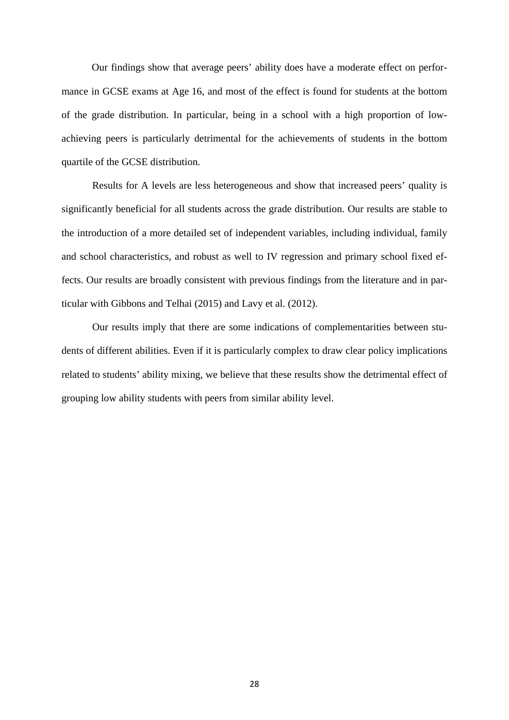Our findings show that average peers' ability does have a moderate effect on performance in GCSE exams at Age 16, and most of the effect is found for students at the bottom of the grade distribution. In particular, being in a school with a high proportion of lowachieving peers is particularly detrimental for the achievements of students in the bottom quartile of the GCSE distribution.

 Results for A levels are less heterogeneous and show that increased peers' quality is significantly beneficial for all students across the grade distribution. Our results are stable to the introduction of a more detailed set of independent variables, including individual, family and school characteristics, and robust as well to IV regression and primary school fixed effects. Our results are broadly consistent with previous findings from the literature and in particular with Gibbons and Telhai (2015) and Lavy et al. (2012).

 Our results imply that there are some indications of complementarities between students of different abilities. Even if it is particularly complex to draw clear policy implications related to students' ability mixing, we believe that these results show the detrimental effect of grouping low ability students with peers from similar ability level.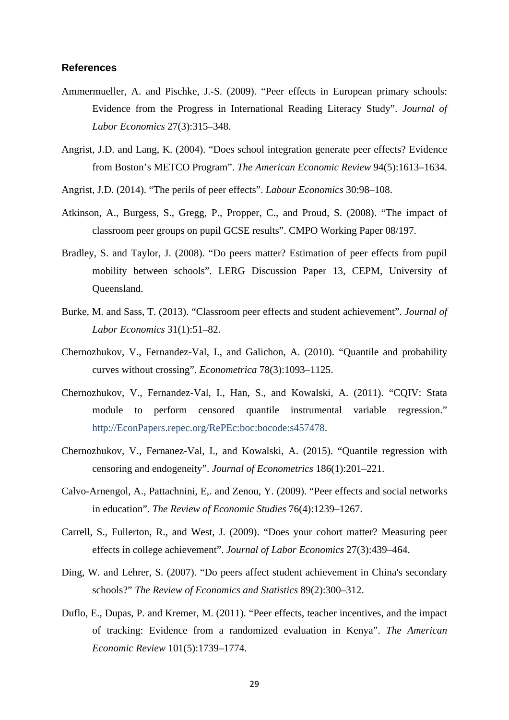#### **References**

- Ammermueller, A. and Pischke, J.-S. (2009). "Peer effects in European primary schools: Evidence from the Progress in International Reading Literacy Study". *Journal of Labor Economics* 27(3):315–348.
- Angrist, J.D. and Lang, K. (2004). "Does school integration generate peer effects? Evidence from Boston's METCO Program". *The American Economic Review* 94(5):1613–1634.
- Angrist, J.D. (2014). "The perils of peer effects". *Labour Economics* 30:98–108.
- Atkinson, A., Burgess, S., Gregg, P., Propper, C., and Proud, S. (2008). "The impact of classroom peer groups on pupil GCSE results". CMPO Working Paper 08/197.
- Bradley, S. and Taylor, J. (2008). "Do peers matter? Estimation of peer effects from pupil mobility between schools". LERG Discussion Paper 13, CEPM, University of Queensland.
- Burke, M. and Sass, T. (2013). "Classroom peer effects and student achievement". *Journal of Labor Economics* 31(1):51–82.
- Chernozhukov, V., Fernandez-Val, I., and Galichon, A. (2010). "Quantile and probability curves without crossing". *Econometrica* 78(3):1093–1125.
- Chernozhukov, V., Fernandez-Val, I., Han, S., and Kowalski, A. (2011). "CQIV: Stata module to perform censored quantile instrumental variable regression." http://EconPapers.repec.org/RePEc:boc:bocode:s457478.
- Chernozhukov, V., Fernanez-Val, I., and Kowalski, A. (2015). "Quantile regression with censoring and endogeneity". *Journal of Econometrics* 186(1):201–221.
- Calvo-Arnengol, A., Pattachnini, E,. and Zenou, Y. (2009). "Peer effects and social networks in education". *The Review of Economic Studies* 76(4):1239–1267.
- Carrell, S., Fullerton, R., and West, J. (2009). "Does your cohort matter? Measuring peer effects in college achievement". *Journal of Labor Economics* 27(3):439–464.
- Ding, W. and Lehrer, S. (2007). "Do peers affect student achievement in China's secondary schools?" *The Review of Economics and Statistics* 89(2):300–312.
- Duflo, E., Dupas, P. and Kremer, M. (2011). "Peer effects, teacher incentives, and the impact of tracking: Evidence from a randomized evaluation in Kenya". *The American Economic Review* 101(5):1739–1774.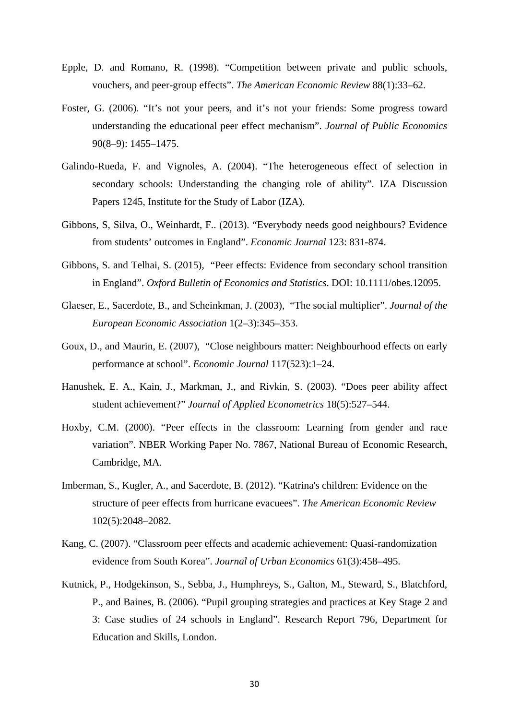- Epple, D. and Romano, R. (1998). "Competition between private and public schools, vouchers, and peer-group effects". *The American Economic Review* 88(1):33–62.
- Foster, G. (2006). "It's not your peers, and it's not your friends: Some progress toward understanding the educational peer effect mechanism". *Journal of Public Economics* 90(8–9): 1455–1475.
- Galindo-Rueda, F. and Vignoles, A. (2004). "The heterogeneous effect of selection in secondary schools: Understanding the changing role of ability". IZA Discussion Papers 1245, Institute for the Study of Labor (IZA).
- Gibbons, S, Silva, O., Weinhardt, F.. (2013). "Everybody needs good neighbours? Evidence from students' outcomes in England". *Economic Journal* 123: 831-874.
- Gibbons, S. and Telhai, S. (2015), "Peer effects: Evidence from secondary school transition in England". *Oxford Bulletin of Economics and Statistics*. DOI: 10.1111/obes.12095.
- Glaeser, E., Sacerdote, B., and Scheinkman, J. (2003), "The social multiplier". *Journal of the European Economic Association* 1(2–3):345–353.
- Goux, D., and Maurin, E. (2007), "Close neighbours matter: Neighbourhood effects on early performance at school". *Economic Journal* 117(523):1–24.
- Hanushek, E. A., Kain, J., Markman, J., and Rivkin, S. (2003). "Does peer ability affect student achievement?" *Journal of Applied Econometrics* 18(5):527–544.
- Hoxby, C.M. (2000). "Peer effects in the classroom: Learning from gender and race variation". NBER Working Paper No. 7867, National Bureau of Economic Research, Cambridge, MA.
- Imberman, S., Kugler, A., and Sacerdote, B. (2012). "Katrina's children: Evidence on the structure of peer effects from hurricane evacuees". *The American Economic Review* 102(5):2048–2082.
- Kang, C. (2007). "Classroom peer effects and academic achievement: Quasi-randomization evidence from South Korea". *Journal of Urban Economics* 61(3):458–495.
- Kutnick, P., Hodgekinson, S., Sebba, J., Humphreys, S., Galton, M., Steward, S., Blatchford, P., and Baines, B. (2006). "Pupil grouping strategies and practices at Key Stage 2 and 3: Case studies of 24 schools in England". Research Report 796, Department for Education and Skills, London.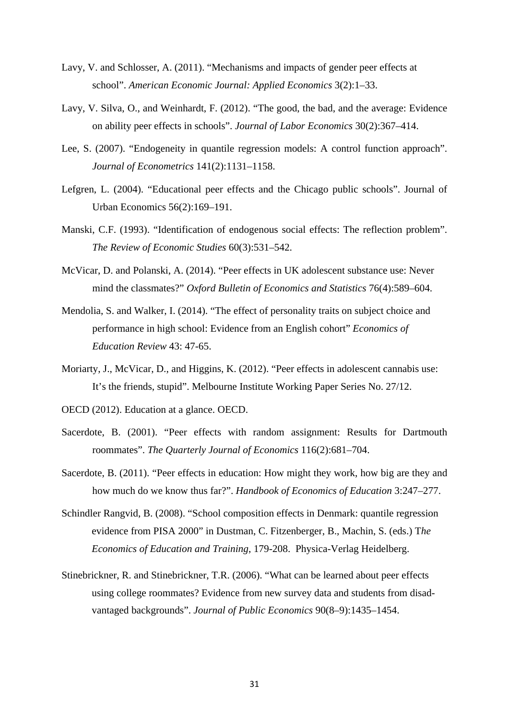- Lavy, V. and Schlosser, A. (2011). "Mechanisms and impacts of gender peer effects at school". *American Economic Journal: Applied Economics* 3(2):1–33.
- Lavy, V. Silva, O., and Weinhardt, F. (2012). "The good, the bad, and the average: Evidence on ability peer effects in schools". *Journal of Labor Economics* 30(2):367–414.
- Lee, S. (2007). "Endogeneity in quantile regression models: A control function approach". *Journal of Econometrics* 141(2):1131–1158.
- Lefgren, L. (2004). "Educational peer effects and the Chicago public schools". Journal of Urban Economics 56(2):169–191.
- Manski, C.F. (1993). "Identification of endogenous social effects: The reflection problem". *The Review of Economic Studies* 60(3):531–542.
- McVicar, D. and Polanski, A. (2014). "Peer effects in UK adolescent substance use: Never mind the classmates?" *Oxford Bulletin of Economics and Statistics* 76(4):589–604.
- Mendolia, S. and Walker, I. (2014). "The effect of personality traits on subject choice and performance in high school: Evidence from an English cohort" *Economics of Education Review* 43: 47-65.
- Moriarty, J., McVicar, D., and Higgins, K. (2012). "Peer effects in adolescent cannabis use: It's the friends, stupid". Melbourne Institute Working Paper Series No. 27/12.
- OECD (2012). Education at a glance. OECD.
- Sacerdote, B. (2001). "Peer effects with random assignment: Results for Dartmouth roommates". *The Quarterly Journal of Economics* 116(2):681–704.
- Sacerdote, B. (2011). "Peer effects in education: How might they work, how big are they and how much do we know thus far?". *Handbook of Economics of Education* 3:247–277.
- Schindler Rangvid, B. (2008). "School composition effects in Denmark: quantile regression evidence from PISA 2000" in Dustman, C. Fitzenberger, B., Machin, S. (eds.) T*he Economics of Education and Training*, 179-208. Physica-Verlag Heidelberg.
- Stinebrickner, R. and Stinebrickner, T.R. (2006). "What can be learned about peer effects using college roommates? Evidence from new survey data and students from disadvantaged backgrounds". *Journal of Public Economics* 90(8–9):1435–1454.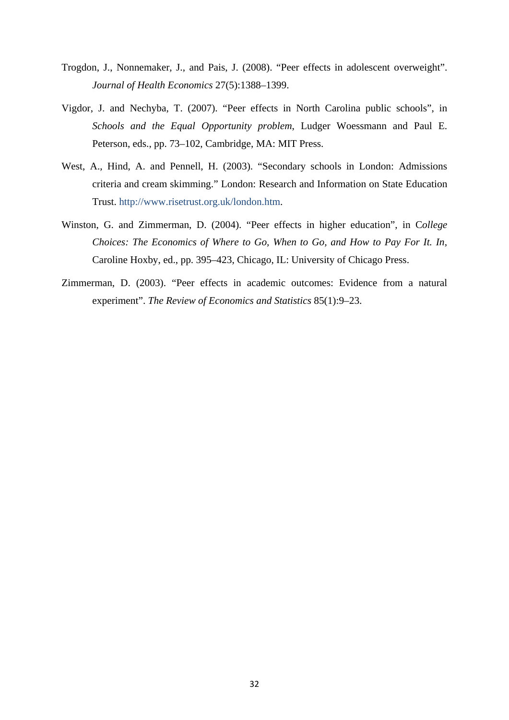- Trogdon, J., Nonnemaker, J., and Pais, J. (2008). "Peer effects in adolescent overweight". *Journal of Health Economics* 27(5):1388–1399.
- Vigdor, J. and Nechyba, T. (2007). "Peer effects in North Carolina public schools", in *Schools and the Equal Opportunity problem*, Ludger Woessmann and Paul E. Peterson, eds., pp. 73–102, Cambridge, MA: MIT Press.
- West, A., Hind, A. and Pennell, H. (2003). "Secondary schools in London: Admissions criteria and cream skimming." London: Research and Information on State Education Trust. http://www.risetrust.org.uk/london.htm.
- Winston, G. and Zimmerman, D. (2004). "Peer effects in higher education", in C*ollege Choices: The Economics of Where to Go, When to Go, and How to Pay For It. In*, Caroline Hoxby, ed., pp. 395–423, Chicago, IL: University of Chicago Press.
- Zimmerman, D. (2003). "Peer effects in academic outcomes: Evidence from a natural experiment". *The Review of Economics and Statistics* 85(1):9–23.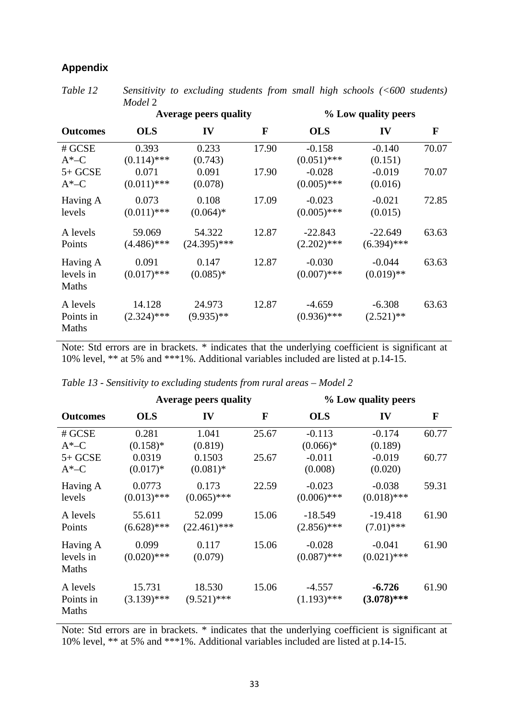#### **Appendix**

*Table 12 Sensitivity to excluding students from small high schools (<600 students) Model* 2

|                                |                         | <b>Average peers quality</b> |       | % Low quality peers        |                            |              |  |  |  |
|--------------------------------|-------------------------|------------------------------|-------|----------------------------|----------------------------|--------------|--|--|--|
| <b>Outcomes</b>                | <b>OLS</b>              | IV                           | F     | <b>OLS</b>                 | IV                         | $\mathbf{F}$ |  |  |  |
| # GCSE<br>$A*-C$               | 0.393<br>$(0.114)$ ***  | 0.233<br>(0.743)             | 17.90 | $-0.158$<br>$(0.051)$ ***  | $-0.140$<br>(0.151)        | 70.07        |  |  |  |
| $5+GCSE$<br>$A^*$ –C           | 0.071<br>$(0.011)$ ***  | 0.091<br>(0.078)             | 17.90 | $-0.028$<br>$(0.005)$ ***  | $-0.019$<br>(0.016)        | 70.07        |  |  |  |
| Having A<br>levels             | 0.073<br>$(0.011)$ ***  | 0.108<br>$(0.064)$ *         | 17.09 | $-0.023$<br>$(0.005)$ ***  | $-0.021$<br>(0.015)        | 72.85        |  |  |  |
| A levels<br>Points             | 59.069<br>$(4.486)$ *** | 54.322<br>$(24.395)$ ***     | 12.87 | $-22.843$<br>$(2.202)$ *** | $-22.649$<br>$(6.394)$ *** | 63.63        |  |  |  |
| Having A<br>levels in<br>Maths | 0.091<br>$(0.017)$ ***  | 0.147<br>$(0.085)*$          | 12.87 | $-0.030$<br>$(0.007)$ ***  | $-0.044$<br>$(0.019)$ **   | 63.63        |  |  |  |
| A levels<br>Points in<br>Maths | 14.128<br>$(2.324)$ *** | 24.973<br>$(9.935)$ **       | 12.87 | $-4.659$<br>$(0.936)$ ***  | $-6.308$<br>$(2.521)$ **   | 63.63        |  |  |  |

Note: Std errors are in brackets. \* indicates that the underlying coefficient is significant at 10% level, \*\* at 5% and \*\*\*1%. Additional variables included are listed at p.14-15.

| <b>Outcomes</b>                |                         | <b>Average peers quality</b> |              | % Low quality peers        |                           |       |  |  |  |
|--------------------------------|-------------------------|------------------------------|--------------|----------------------------|---------------------------|-------|--|--|--|
|                                | <b>OLS</b>              | IV                           | $\mathbf{F}$ | <b>OLS</b>                 | IV                        | F     |  |  |  |
| # GCSE<br>$A^*$ –C             | 0.281<br>$(0.158)$ *    | 1.041<br>(0.819)             | 25.67        | $-0.113$<br>$(0.066)*$     | $-0.174$<br>(0.189)       | 60.77 |  |  |  |
| $5+GCSE$<br>$A^*$ –C           | 0.0319<br>$(0.017)*$    | 0.1503<br>$(0.081)$ *        | 25.67        | $-0.011$<br>(0.008)        | $-0.019$<br>(0.020)       | 60.77 |  |  |  |
| Having A<br>levels             | 0.0773<br>$(0.013)$ *** | 0.173<br>$(0.065)$ ***       | 22.59        | $-0.023$<br>$(0.006)$ ***  | $-0.038$<br>$(0.018)$ *** | 59.31 |  |  |  |
| A levels<br>Points             | 55.611<br>$(6.628)$ *** | 52.099<br>$(22.461)$ ***     | 15.06        | $-18.549$<br>$(2.856)$ *** | $-19.418$<br>$(7.01)$ *** | 61.90 |  |  |  |
| Having A<br>levels in<br>Maths | 0.099<br>$(0.020)$ ***  | 0.117<br>(0.079)             | 15.06        | $-0.028$<br>$(0.087)$ ***  | $-0.041$<br>$(0.021)$ *** | 61.90 |  |  |  |
| A levels<br>Points in<br>Maths | 15.731<br>$(3.139)$ *** | 18.530<br>$(9.521)$ ***      | 15.06        | $-4.557$<br>$(1.193)$ ***  | $-6.726$<br>$(3.078)$ *** | 61.90 |  |  |  |

*Table 13 - Sensitivity to excluding students from rural areas – Model 2*

Note: Std errors are in brackets. \* indicates that the underlying coefficient is significant at 10% level, \*\* at 5% and \*\*\*1%. Additional variables included are listed at p.14-15.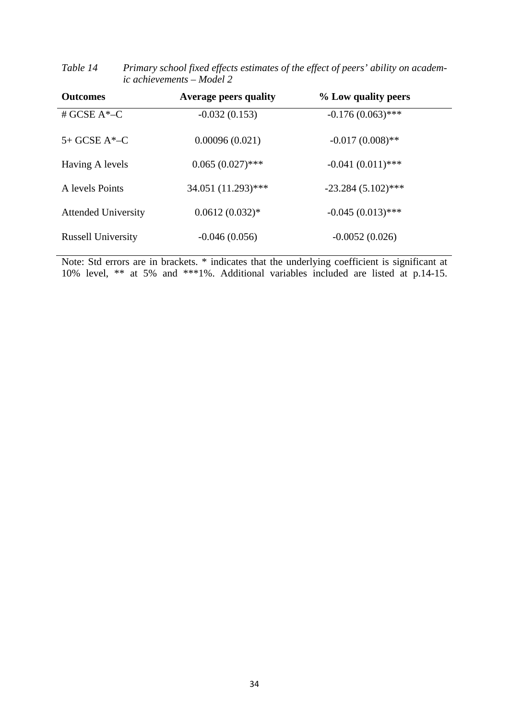|                            | $\mu$ achievements — mouel $\mu$ |                      |  |
|----------------------------|----------------------------------|----------------------|--|
| <b>Outcomes</b>            | <b>Average peers quality</b>     | % Low quality peers  |  |
| # GCSE $A^*$ –C            | $-0.032(0.153)$                  | $-0.176(0.063)$ ***  |  |
| $5+GCSE A*-C$              | 0.00096(0.021)                   | $-0.017(0.008)$ **   |  |
| Having A levels            | $0.065(0.027)$ ***               | $-0.041(0.011)$ ***  |  |
| A levels Points            | 34.051 (11.293)***               | $-23.284(5.102)$ *** |  |
| <b>Attended University</b> | $0.0612(0.032)*$                 | $-0.045(0.013)$ ***  |  |
| <b>Russell University</b>  | $-0.046(0.056)$                  | $-0.0052(0.026)$     |  |

| Table 14 | Primary school fixed effects estimates of the effect of peers' ability on academ- |
|----------|-----------------------------------------------------------------------------------|
|          | ic achievements – Model 2                                                         |

Note: Std errors are in brackets. \* indicates that the underlying coefficient is significant at 10% level, \*\* at 5% and \*\*\*1%. Additional variables included are listed at p.14-15.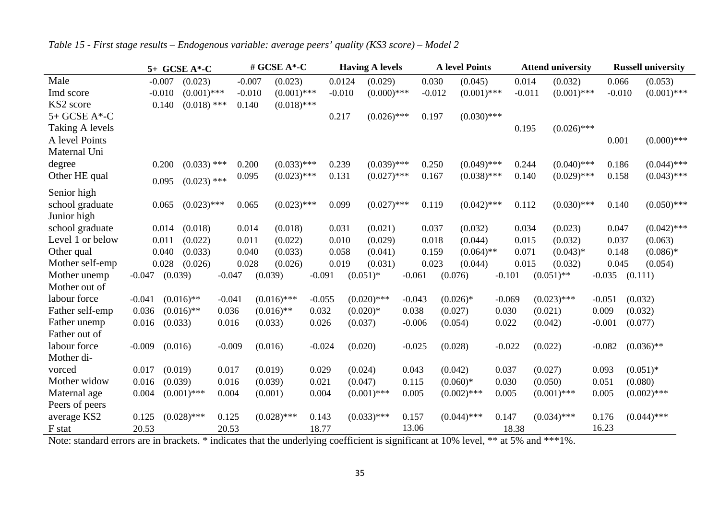|                    |          |          | 5+ GCSE A*-C  |          |          | # GCSE A*-C   |          |          |             | <b>Having A levels</b> |          |          |         | <b>A</b> level Points |          |          |         | <b>Attend university</b> |       |          |             | <b>Russell university</b> |
|--------------------|----------|----------|---------------|----------|----------|---------------|----------|----------|-------------|------------------------|----------|----------|---------|-----------------------|----------|----------|---------|--------------------------|-------|----------|-------------|---------------------------|
| Male               |          | $-0.007$ | (0.023)       |          | $-0.007$ | (0.023)       |          | 0.0124   |             | (0.029)                |          | 0.030    |         | (0.045)               |          | 0.014    |         | (0.032)                  |       | 0.066    |             | (0.053)                   |
| Imd score          |          | $-0.010$ | $(0.001)$ *** |          | $-0.010$ | $(0.001)$ *** |          | $-0.010$ |             | $(0.000)$ ***          |          | $-0.012$ |         | $(0.001)$ ***         |          | $-0.011$ |         | $(0.001)$ ***            |       | $-0.010$ |             | $(0.001)$ ***             |
| KS2 score          |          | 0.140    | $(0.018)$ *** |          | 0.140    | $(0.018)$ *** |          |          |             |                        |          |          |         |                       |          |          |         |                          |       |          |             |                           |
| $5+$ GCSE A $*$ -C |          |          |               |          |          |               |          | 0.217    |             | $(0.026)$ ***          |          | 0.197    |         | $(0.030)$ ***         |          |          |         |                          |       |          |             |                           |
| Taking A levels    |          |          |               |          |          |               |          |          |             |                        |          |          |         |                       |          | 0.195    |         | $(0.026)$ ***            |       |          |             |                           |
| A level Points     |          |          |               |          |          |               |          |          |             |                        |          |          |         |                       |          |          |         |                          |       | 0.001    |             | $(0.000)$ ***             |
| Maternal Uni       |          |          |               |          |          |               |          |          |             |                        |          |          |         |                       |          |          |         |                          |       |          |             |                           |
| degree             |          | 0.200    | $(0.033)$ *** |          | 0.200    | $(0.033)$ *** |          | 0.239    |             | $(0.039)$ ***          |          | 0.250    |         | $(0.049)$ ***         |          | 0.244    |         | $(0.040)$ ***            |       | 0.186    |             | $(0.044)$ ***             |
| Other HE qual      |          | 0.095    | $(0.023)$ *** |          | 0.095    | $(0.023)$ *** |          | 0.131    |             | $(0.027)$ ***          |          | 0.167    |         | $(0.038)$ ***         |          | 0.140    |         | $(0.029)$ ***            |       | 0.158    |             | $(0.043)$ ***             |
| Senior high        |          |          |               |          |          |               |          |          |             |                        |          |          |         |                       |          |          |         |                          |       |          |             |                           |
| school graduate    |          | 0.065    | $(0.023)$ *** |          | 0.065    | $(0.023)$ *** |          | 0.099    |             | $(0.027)$ ***          |          | 0.119    |         | $(0.042)$ ***         |          | 0.112    |         | $(0.030)$ ***            |       | 0.140    |             | $(0.050)$ ***             |
| Junior high        |          |          |               |          |          |               |          |          |             |                        |          |          |         |                       |          |          |         |                          |       |          |             |                           |
| school graduate    |          | 0.014    | (0.018)       |          | 0.014    | (0.018)       |          | 0.031    |             | (0.021)                |          | 0.037    |         | (0.032)               |          | 0.034    |         | (0.023)                  |       | 0.047    |             | $(0.042)$ ***             |
| Level 1 or below   |          | 0.011    | (0.022)       |          | 0.011    | (0.022)       |          | 0.010    |             | (0.029)                |          | 0.018    |         | (0.044)               |          | 0.015    |         | (0.032)                  |       | 0.037    |             | (0.063)                   |
| Other qual         |          | 0.040    | (0.033)       |          | 0.040    | (0.033)       |          | 0.058    |             | (0.041)                |          | 0.159    |         | $(0.064)$ **          |          | 0.071    |         | $(0.043)*$               |       | 0.148    |             | $(0.086)*$                |
| Mother self-emp    |          | 0.028    | (0.026)       |          | 0.028    | (0.026)       |          | 0.019    |             | (0.031)                |          | 0.023    |         | (0.044)               |          | 0.015    |         | (0.032)                  |       | 0.045    |             | (0.054)                   |
| Mother unemp       | $-0.047$ | (0.039)  |               | $-0.047$ |          | (0.039)       | $-0.091$ |          | $(0.051)$ * |                        | $-0.061$ |          | (0.076) |                       | $-0.101$ |          |         | $(0.051)$ **             |       | $-0.035$ | (0.111)     |                           |
| Mother out of      |          |          |               |          |          |               |          |          |             |                        |          |          |         |                       |          |          |         |                          |       |          |             |                           |
| labour force       | $-0.041$ |          | $(0.016)$ **  | $-0.041$ |          | $(0.016)$ *** | $-0.055$ |          |             | $(0.020)$ ***          | $-0.043$ |          |         | $(0.026)$ *           | $-0.069$ |          |         | $(0.023)$ ***            |       | $-0.051$ | (0.032)     |                           |
| Father self-emp    | 0.036    |          | $(0.016)$ **  | 0.036    |          | $(0.016)$ **  | 0.032    |          | $(0.020)*$  |                        | 0.038    |          | (0.027) |                       | 0.030    |          | (0.021) |                          |       | 0.009    | (0.032)     |                           |
| Father unemp       | 0.016    | (0.033)  |               | 0.016    |          | (0.033)       | 0.026    |          | (0.037)     |                        | $-0.006$ |          | (0.054) |                       | 0.022    |          | (0.042) |                          |       | $-0.001$ | (0.077)     |                           |
| Father out of      |          |          |               |          |          |               |          |          |             |                        |          |          |         |                       |          |          |         |                          |       |          |             |                           |
| labour force       | $-0.009$ | (0.016)  |               | $-0.009$ |          | (0.016)       | $-0.024$ |          | (0.020)     |                        | $-0.025$ |          | (0.028) |                       | $-0.022$ |          | (0.022) |                          |       | $-0.082$ |             | $(0.036)$ **              |
| Mother di-         |          |          |               |          |          |               |          |          |             |                        |          |          |         |                       |          |          |         |                          |       |          |             |                           |
| vorced             | 0.017    | (0.019)  |               | 0.017    |          | (0.019)       | 0.029    |          | (0.024)     |                        | 0.043    |          | (0.042) |                       | 0.037    |          | (0.027) |                          | 0.093 |          | $(0.051)^*$ |                           |
| Mother widow       | 0.016    | (0.039)  |               | 0.016    |          | (0.039)       | 0.021    |          | (0.047)     |                        | 0.115    |          |         | $(0.060)*$            | 0.030    |          | (0.050) |                          | 0.051 |          | (0.080)     |                           |
| Maternal age       | 0.004    |          | $(0.001)$ *** | 0.004    |          | (0.001)       | 0.004    |          |             | $(0.001)$ ***          | 0.005    |          |         | $(0.002)$ ***         | 0.005    |          |         | $(0.001)$ ***            | 0.005 |          |             | $(0.002)$ ***             |
| Peers of peers     |          |          |               |          |          |               |          |          |             |                        |          |          |         |                       |          |          |         |                          |       |          |             |                           |
| average KS2        | 0.125    |          | $(0.028)$ *** | 0.125    |          | $(0.028)$ *** | 0.143    |          |             | $(0.033)$ ***          | 0.157    |          |         | $(0.044)$ ***         | 0.147    |          |         | $(0.034)$ ***            | 0.176 |          |             | $(0.044)$ ***             |
| F stat             | 20.53    |          |               | 20.53    |          |               | 18.77    |          |             |                        | 13.06    |          |         |                       |          | 18.38    |         |                          |       | 16.23    |             |                           |

*Table 15 - First stage results – Endogenous variable: average peers' quality (KS3 score) – Model 2* 

Note: standard errors are in brackets. \* indicates that the underlying coefficient is significant at 10% level, \*\* at 5% and \*\*\*1%.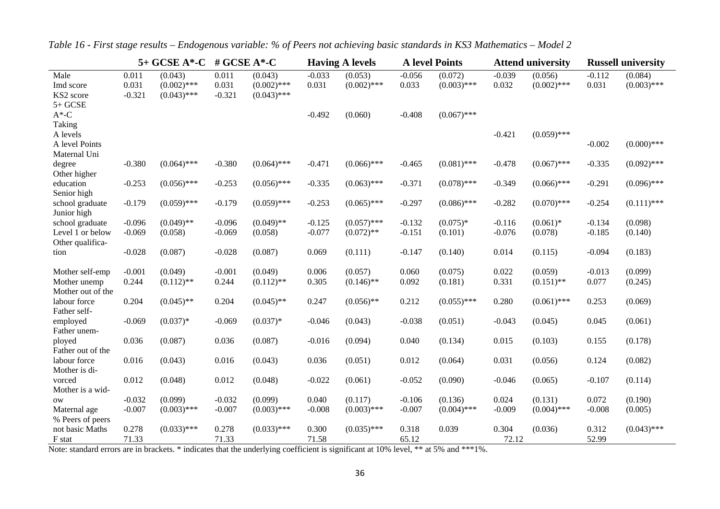|                                            | 5+ GCSE A*-C<br># GCSE $A^*$ -C |                                           |                            | <b>Having A levels</b>                    |                   | <b>A</b> level Points    |                   |                          | <b>Attend university</b> | <b>Russell university</b> |                   |                          |
|--------------------------------------------|---------------------------------|-------------------------------------------|----------------------------|-------------------------------------------|-------------------|--------------------------|-------------------|--------------------------|--------------------------|---------------------------|-------------------|--------------------------|
| Male<br>Imd score<br>KS2 score<br>$5+GCSE$ | 0.011<br>0.031<br>$-0.321$      | (0.043)<br>$(0.002)$ ***<br>$(0.043)$ *** | 0.011<br>0.031<br>$-0.321$ | (0.043)<br>$(0.002)$ ***<br>$(0.043)$ *** | $-0.033$<br>0.031 | (0.053)<br>$(0.002)$ *** | $-0.056$<br>0.033 | (0.072)<br>$(0.003)$ *** | $-0.039$<br>0.032        | (0.056)<br>$(0.002)$ ***  | $-0.112$<br>0.031 | (0.084)<br>$(0.003)$ *** |
| $A^*$ -C                                   |                                 |                                           |                            |                                           | $-0.492$          | (0.060)                  | $-0.408$          | $(0.067)$ ***            |                          |                           |                   |                          |
| Taking                                     |                                 |                                           |                            |                                           |                   |                          |                   |                          |                          |                           |                   |                          |
| A levels<br>A level Points<br>Maternal Uni |                                 |                                           |                            |                                           |                   |                          |                   |                          | $-0.421$                 | $(0.059)$ ***             | $-0.002$          | $(0.000)$ ***            |
| degree<br>Other higher                     | $-0.380$                        | $(0.064)$ ***                             | $-0.380$                   | $(0.064)$ ***                             | $-0.471$          | $(0.066)$ ***            | $-0.465$          | $(0.081)$ ***            | $-0.478$                 | $(0.067)$ ***             | $-0.335$          | $(0.092)$ ***            |
| education<br>Senior high                   | $-0.253$                        | $(0.056)$ ***                             | $-0.253$                   | $(0.056)$ ***                             | $-0.335$          | $(0.063)$ ***            | $-0.371$          | $(0.078)$ ***            | $-0.349$                 | $(0.066)$ ***             | $-0.291$          | $(0.096)$ ***            |
| school graduate<br>Junior high             | $-0.179$                        | $(0.059)$ ***                             | $-0.179$                   | $(0.059)$ ***                             | $-0.253$          | $(0.065)$ ***            | $-0.297$          | $(0.086)$ ***            | $-0.282$                 | $(0.070)$ ***             | $-0.254$          | $(0.111)$ ***            |
| school graduate                            | $-0.096$                        | $(0.049)$ **                              | $-0.096$                   | $(0.049)$ **                              | $-0.125$          | $(0.057)$ ***            | $-0.132$          | $(0.075)*$               | $-0.116$                 | $(0.061)*$                | $-0.134$          | (0.098)                  |
| Level 1 or below                           | $-0.069$                        | (0.058)                                   | $-0.069$                   | (0.058)                                   | $-0.077$          | $(0.072)$ **             | $-0.151$          | (0.101)                  | $-0.076$                 | (0.078)                   | $-0.185$          | (0.140)                  |
| Other qualifica-<br>tion                   | $-0.028$                        | (0.087)                                   | $-0.028$                   | (0.087)                                   | 0.069             | (0.111)                  | $-0.147$          | (0.140)                  | 0.014                    | (0.115)                   | $-0.094$          | (0.183)                  |
| Mother self-emp                            | $-0.001$<br>0.244               | (0.049)                                   | $-0.001$                   | (0.049)<br>$(0.112)$ **                   | 0.006<br>0.305    | (0.057)                  | 0.060             | (0.075)                  | 0.022<br>0.331           | (0.059)<br>$(0.151)$ **   | $-0.013$<br>0.077 | (0.099)                  |
| Mother unemp<br>Mother out of the          |                                 | $(0.112)$ **                              | 0.244                      |                                           |                   | $(0.146)$ **             | 0.092             | (0.181)                  |                          |                           |                   | (0.245)                  |
| labour force<br>Father self-               | 0.204                           | $(0.045)$ **                              | 0.204                      | $(0.045)$ **                              | 0.247             | $(0.056)$ **             | 0.212             | $(0.055)$ ***            | 0.280                    | $(0.061)$ ***             | 0.253             | (0.069)                  |
| employed<br>Father unem-                   | $-0.069$                        | $(0.037)*$                                | $-0.069$                   | $(0.037)*$                                | $-0.046$          | (0.043)                  | $-0.038$          | (0.051)                  | $-0.043$                 | (0.045)                   | 0.045             | (0.061)                  |
| ployed<br>Father out of the                | 0.036                           | (0.087)                                   | 0.036                      | (0.087)                                   | $-0.016$          | (0.094)                  | 0.040             | (0.134)                  | 0.015                    | (0.103)                   | 0.155             | (0.178)                  |
| labour force<br>Mother is di-              | 0.016                           | (0.043)                                   | 0.016                      | (0.043)                                   | 0.036             | (0.051)                  | 0.012             | (0.064)                  | 0.031                    | (0.056)                   | 0.124             | (0.082)                  |
| vorced<br>Mother is a wid-                 | 0.012                           | (0.048)                                   | 0.012                      | (0.048)                                   | $-0.022$          | (0.061)                  | $-0.052$          | (0.090)                  | $-0.046$                 | (0.065)                   | $-0.107$          | (0.114)                  |
| 0W                                         | $-0.032$                        | (0.099)                                   | $-0.032$                   | (0.099)                                   | 0.040             | (0.117)                  | $-0.106$          | (0.136)                  | 0.024                    | (0.131)                   | 0.072             | (0.190)                  |
| Maternal age                               | $-0.007$                        | $(0.003)$ ***                             | $-0.007$                   | $(0.003)$ ***                             | $-0.008$          | $(0.003)$ ***            | $-0.007$          | $(0.004)$ ***            | $-0.009$                 | $(0.004)$ ***             | $-0.008$          | (0.005)                  |
| % Peers of peers<br>not basic Maths        | 0.278                           | $(0.033)$ ***                             | 0.278                      | $(0.033)$ ***                             | 0.300             | $(0.035)$ ***            | 0.318             | 0.039                    | 0.304                    | (0.036)                   | 0.312             | $(0.043)$ ***            |
| F stat                                     | 71.33                           |                                           | 71.33                      |                                           | 71.58             |                          | 65.12             |                          | 72.12                    |                           | 52.99             |                          |

*Table 16 - First stage results – Endogenous variable: % of Peers not achieving basic standards in KS3 Mathematics – Model 2* 

Note: standard errors are in brackets. \* indicates that the underlying coefficient is significant at 10% level, \*\* at 5% and \*\*\*1%.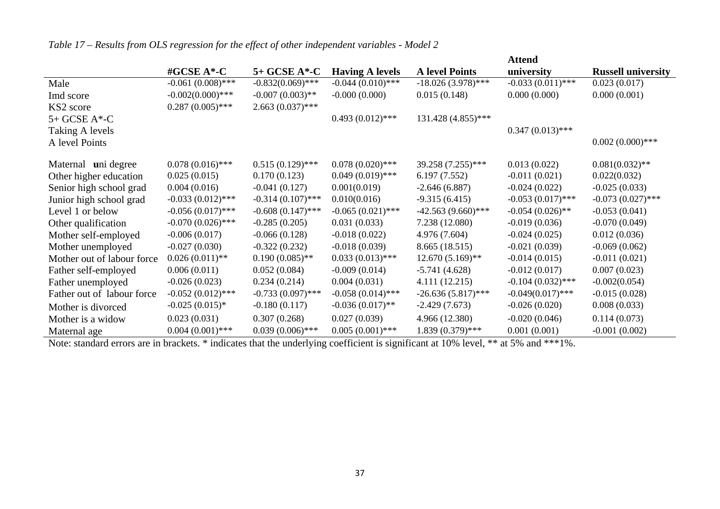|                            |                     |                     |                        |                       | Attend              |                           |
|----------------------------|---------------------|---------------------|------------------------|-----------------------|---------------------|---------------------------|
|                            | #GCSE A*-C          | 5+ GCSE A*-C        | <b>Having A levels</b> | <b>A</b> level Points | university          | <b>Russell university</b> |
| Male                       | $-0.061(0.008)$ *** | $-0.832(0.069)$ *** | $-0.044(0.010)$ ***    | $-18.026(3.978)$ ***  | $-0.033(0.011)$ *** | 0.023(0.017)              |
| Imd score                  | $-0.002(0.000)$ *** | $-0.007(0.003)$ **  | $-0.000(0.000)$        | 0.015(0.148)          | 0.000(0.000)        | 0.000(0.001)              |
| KS2 score                  | $0.287(0.005)$ ***  | $2.663(0.037)$ ***  |                        |                       |                     |                           |
| $5+$ GCSE A $*$ -C         |                     |                     | $0.493(0.012)$ ***     | 131.428 (4.855)***    |                     |                           |
| Taking A levels            |                     |                     |                        |                       | $0.347(0.013)$ ***  |                           |
| A level Points             |                     |                     |                        |                       |                     | $0.002(0.000)$ ***        |
| Maternal uni degree        | $0.078(0.016)$ ***  | $0.515(0.129)$ ***  | $0.078(0.020)$ ***     | 39.258 (7.255)***     | 0.013(0.022)        | $0.081(0.032)$ **         |
| Other higher education     | 0.025(0.015)        | 0.170(0.123)        | $0.049(0.019)$ ***     | 6.197(7.552)          | $-0.011(0.021)$     | 0.022(0.032)              |
| Senior high school grad    | 0.004(0.016)        | $-0.041(0.127)$     | 0.001(0.019)           | $-2.646(6.887)$       | $-0.024(0.022)$     | $-0.025(0.033)$           |
| Junior high school grad    | $-0.033(0.012)$ *** | $-0.314(0.107)$ *** | 0.010(0.016)           | $-9.315(6.415)$       | $-0.053(0.017)$ *** | $-0.073(0.027)$ ***       |
| Level 1 or below           | $-0.056(0.017)$ *** | $-0.608(0.147)$ *** | $-0.065(0.021)$ ***    | $-42.563(9.660)$ ***  | $-0.054(0.026)$ **  | $-0.053(0.041)$           |
| Other qualification        | $-0.070(0.026)$ *** | $-0.285(0.205)$     | 0.031(0.033)           | 7.238 (12.080)        | $-0.019(0.036)$     | $-0.070(0.049)$           |
| Mother self-employed       | $-0.006(0.017)$     | $-0.066(0.128)$     | $-0.018(0.022)$        | 4.976 (7.604)         | $-0.024(0.025)$     | 0.012(0.036)              |
| Mother unemployed          | $-0.027(0.030)$     | $-0.322(0.232)$     | $-0.018(0.039)$        | 8.665 (18.515)        | $-0.021(0.039)$     | $-0.069(0.062)$           |
| Mother out of labour force | $0.026(0.011)$ **   | $0.190(0.085)$ **   | $0.033(0.013)$ ***     | $12.670(5.169)$ **    | $-0.014(0.015)$     | $-0.011(0.021)$           |
| Father self-employed       | 0.006(0.011)        | 0.052(0.084)        | $-0.009(0.014)$        | $-5.741(4.628)$       | $-0.012(0.017)$     | 0.007(0.023)              |
| Father unemployed          | $-0.026(0.023)$     | 0.234(0.214)        | 0.004(0.031)           | 4.111 (12.215)        | $-0.104(0.032)$ *** | $-0.002(0.054)$           |
| Father out of labour force | $-0.052(0.012)$ *** | $-0.733(0.097)$ *** | $-0.058(0.014)$ ***    | $-26.636(5.817)$ ***  | $-0.049(0.017)$ *** | $-0.015(0.028)$           |
| Mother is divorced         | $-0.025(0.015)*$    | $-0.180(0.117)$     | $-0.036(0.017)$ **     | $-2.429(7.673)$       | $-0.026(0.020)$     | 0.008(0.033)              |
| Mother is a widow          | 0.023(0.031)        | 0.307(0.268)        | 0.027(0.039)           | 4.966 (12.380)        | $-0.020(0.046)$     | 0.114(0.073)              |
| Maternal age               | $0.004(0.001)$ ***  | $0.039(0.006)$ ***  | $0.005(0.001)$ ***     | 1.839 (0.379)***      | 0.001(0.001)        | $-0.001(0.002)$           |

*Table 17 – Results from OLS regression for the effect of other independent variables - Model 2* 

Note: standard errors are in brackets. \* indicates that the underlying coefficient is significant at 10% level, \*\* at 5% and \*\*\*1%.